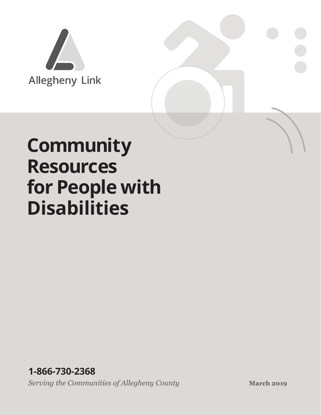

# **Community Resources for People with Disabilities**

*Serving the Communities of Allegheny County* **March 2019 March 2019 1-866-730-2368**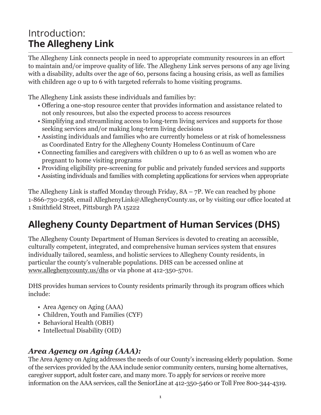# Introduction: **The Allegheny Link**

The Allegheny Link connects people in need to appropriate community resources in an effort to maintain and/or improve quality of life. The Allegheny Link serves persons of any age living with a disability, adults over the age of 60, persons facing a housing crisis, as well as families with children age 0 up to 6 with targeted referrals to home visiting programs.

The Allegheny Link assists these individuals and families by:

- Offering a one-stop resource center that provides information and assistance related to not only resources, but also the expected process to access resources
- Simplifying and streamlining access to long-term living services and supports for those seeking services and/or making long-term living decisions
- Assisting individuals and families who are currently homeless or at risk of homelessness as Coordinated Entry for the Allegheny County Homeless Continuum of Care
- Connecting families and caregivers with children 0 up to 6 as well as women who are pregnant to home visiting programs
- Providing eligibility pre-screening for public and privately funded services and supports
- Assisting individuals and families with completing applications for services when appropriate

The Allegheny Link is staffed Monday through Friday, 8A – 7P. We can reached by phone 1-866-730-2368, email AlleghenyLink@AlleghenyCounty.us, or by visiting our office located at 1 Smithfield Street, Pittsburgh PA 15222

# **Allegheny County Department of Human Services (DHS)**

The Allegheny County Department of Human Services is devoted to creating an accessible, culturally competent, integrated, and comprehensive human services system that ensures individually tailored, seamless, and holistic services to Allegheny County residents, in particular the county's vulnerable populations. DHS can be accessed online at www.alleghenycounty.us/dhs or via phone at 412-350-5701.

DHS provides human services to County residents primarily through its program offices which include:

- Area Agency on Aging (AAA)
- Children, Youth and Families (CYF)
- Behavioral Health (OBH)
- Intellectual Disability (OID)

# *Area Agency on Aging (AAA):*

The Area Agency on Aging addresses the needs of our County's increasing elderly population. Some of the services provided by the AAA include senior community centers, nursing home alternatives, caregiver support, adult foster care, and many more. To apply for services or receive more information on the AAA services, call the SeniorLine at 412-350-5460 or Toll Free 800-344-4319.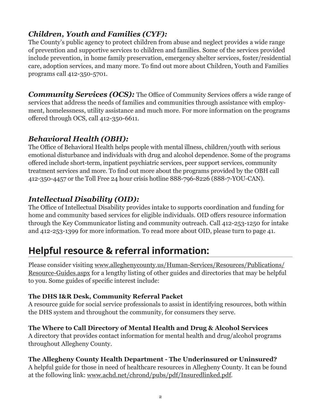# *Children, Youth and Families (CYF):*

The County's public agency to protect children from abuse and neglect provides a wide range of prevention and supportive services to children and families. Some of the services provided include prevention, in home family preservation, emergency shelter services, foster/residential care, adoption services, and many more. To find out more about Children, Youth and Families programs call 412-350-5701.

*Community Services (OCS):* The Office of Community Services offers a wide range of services that address the needs of families and communities through assistance with employment, homelessness, utility assistance and much more. For more information on the programs offered through OCS, call 412-350-6611.

# *Behavioral Health (OBH):*

The Office of Behavioral Health helps people with mental illness, children/youth with serious emotional disturbance and individuals with drug and alcohol dependence. Some of the programs offered include short-term, inpatient psychiatric services, peer support services, community treatment services and more. To find out more about the programs provided by the OBH call 412-350-4457 or the Toll Free 24 hour crisis hotline 888-796-8226 (888-7-YOU-CAN).

# *Intellectual Disability (OID):*

The Office of Intellectual Disability provides intake to supports coordination and funding for home and community based services for eligible individuals. OID offers resource information through the Key Communicator listing and community outreach. Call 412-253-1250 for intake and 412-253-1399 for more information. To read more about OID, please turn to page 41.

# **Helpful resource & referral information:**

Please consider visiting www.alleghenycounty.us/Human-Services/Resources/Publications/ Resource-Guides.aspx for a lengthy listing of other guides and directories that may be helpful to you. Some guides of specific interest include:

#### **The DHS I&R Desk, Community Referral Packet**

A resource guide for social service professionals to assist in identifying resources, both within the DHS system and throughout the community, for consumers they serve.

#### **The Where to Call Directory of Mental Health and Drug & Alcohol Services**

A directory that provides contact information for mental health and drug/alcohol programs throughout Allegheny County.

#### **The Allegheny County Health Department - The Underinsured or Uninsured?**

A helpful guide for those in need of healthcare resources in Allegheny County. It can be found at the following link: www.achd.net/chrond/pubs/pdf/Insuredlinked.pdf.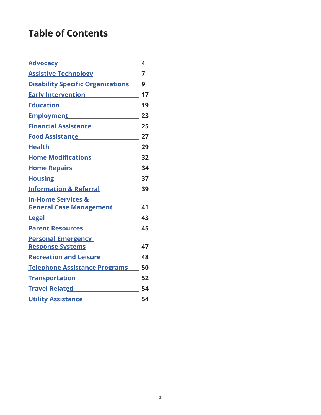# **Table of Contents**

| <b>Advocacy</b>                                                                                                                                                          | 4  |
|--------------------------------------------------------------------------------------------------------------------------------------------------------------------------|----|
| <b>Assistive Technology</b>                                                                                                                                              | 7  |
| <b>Disability Specific Organizations</b>                                                                                                                                 | 9  |
| <b>Early Intervention</b>                                                                                                                                                | 17 |
| Education <b>Example 2016</b>                                                                                                                                            | 19 |
| <u>Employment</u>                                                                                                                                                        | 23 |
| <b>Financial Assistance</b><br>$\mathcal{L}(\mathcal{L}^{\mathcal{L}})$ and $\mathcal{L}^{\mathcal{L}}$ are the set of the set of the set of $\mathcal{L}^{\mathcal{L}}$ | 25 |
| <b>Food Assistance</b>                                                                                                                                                   | 27 |
| <b>Health</b>                                                                                                                                                            | 29 |
| <b>Home Modifications</b>                                                                                                                                                | 32 |
| Home Repairs <b>Home Repairs</b>                                                                                                                                         | 34 |
| <b>Housing</b>                                                                                                                                                           | 37 |
| <b>Information &amp; Referral</b>                                                                                                                                        | 39 |
| <b>In-Home Services &amp;</b>                                                                                                                                            |    |
| <b>General Case Management</b>                                                                                                                                           | 41 |
| <b>Legal</b>                                                                                                                                                             | 43 |
| <b>Parent Resources</b>                                                                                                                                                  | 45 |
| <b>Personal Emergency</b>                                                                                                                                                |    |
| <b>Response Systems</b>                                                                                                                                                  | 47 |
| <b>Recreation and Leisure</b>                                                                                                                                            | 48 |
| <b>Telephone Assistance Programs</b>                                                                                                                                     | 50 |
| <b>Transportation</b>                                                                                                                                                    | 52 |
| <b>Travel Related</b>                                                                                                                                                    | 54 |
| <b>Utility Assistance</b>                                                                                                                                                | 54 |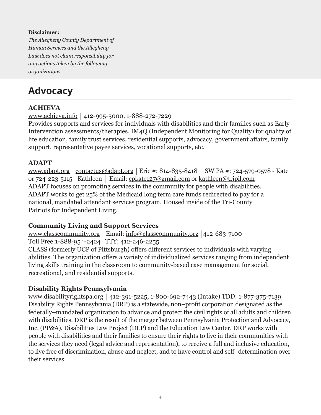#### **Disclaimer:**

*The Allegheny County Department of Human Services and the Allegheny Link does not claim responsibility for any actions taken by the following organizations.*

# **Advocacy**

#### **ACHIEVA**

www.achieva.info 412-995-5000, 1-888-272-7229

Provides supports and services for individuals with disabilities and their families such as Early Intervention assessments/therapies, IM4Q (Independent Monitoring for Quality) for quality of life education, family trust services, residential supports, advocacy, government affairs, family support, representative payee services, vocational supports, etc.

#### **ADAPT**

www.adapt.org | contactus@adapt.org | Erie #: 814-835-8418 | SW PA #: 724-579-0578 - Kate or 724-223-5115 - Kathleen | Email: cpkate127@gmail.com or kathleen@tripil.com ADAPT focuses on promoting services in the community for people with disabilities. ADAPT works to get 25% of the Medicaid long term care funds redirected to pay for a national, mandated attendant services program. Housed inside of the Tri-County Patriots for Independent Living.

#### **Community Living and Support Services**

www.classcommunity.org | Email: info@classcommunity.org | 412-683-7100 Toll Free:1-888-954-2424 TTY: 412-246-2255

CLASS (formerly UCP of Pittsburgh) offers different services to individuals with varying abilities. The organization offers a variety of individualized services ranging from independent living skills training in the classroom to community-based case management for social, recreational, and residential supports.

# **Disability Rights Pennsylvania**

www.disabilityrightspa.org 412-391-5225, 1-800-692-7443 (Intake) TDD: 1-877-375-7139 Disability Rights Pennsylvania (DRP) is a statewide, non–profit corporation designated as the federally–mandated organization to advance and protect the civil rights of all adults and children with disabilities. DRP is the result of the merger between Pennsylvania Protection and Advocacy, Inc. (PP&A), Disabilities Law Project (DLP) and the Education Law Center. DRP works with people with disabilities and their families to ensure their rights to live in their communities with the services they need (legal advice and representation), to receive a full and inclusive education, to live free of discrimination, abuse and neglect, and to have control and self–determination over their services.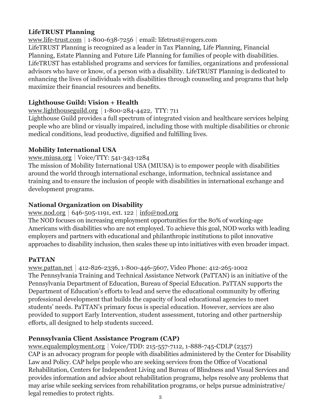#### **LifeTRUST Planning**

www.life-trust.com | 1-800-638-7256 | email: lifetrust@rogers.com LifeTRUST Planning is recognized as a leader in Tax Planning, Life Planning, Financial Planning, Estate Planning and Future Life Planning for families of people with disabilities. LifeTRUST has established programs and services for families, organizations and professional advisors who have or know, of a person with a disability. LifeTRUST Planning is dedicated to enhancing the lives of individuals with disabilities through counseling and programs that help maximize their financial resources and benefits.

### **Lighthouse Guild: Vision + Health**

#### www.lighthouseguild.org |  $1-800-284-4422$ , TTY: 711

Lighthouse Guild provides a full spectrum of integrated vision and healthcare services helping people who are blind or visually impaired, including those with multiple disabilities or chronic medical conditions, lead productive, dignified and fulfilling lives.

#### **Mobility International USA**

www.miusa.org | Voice/TTY:  $541-343-1284$ 

The mission of Mobility International USA (MIUSA) is to empower people with disabilities around the world through international exchange, information, technical assistance and training and to ensure the inclusion of people with disabilities in international exchange and development programs.

### **National Organization on Disability**

#### www.nod.org 646-505-1191, ext. 122  $|$  info@nod.org

The NOD focuses on increasing employment opportunities for the 80% of working-age Americans with disabilities who are not employed. To achieve this goal, NOD works with leading employers and partners with educational and philanthropic institutions to pilot innovative approaches to disability inclusion, then scales these up into initiatives with even broader impact.

#### **PaTTAN**

www.pattan.net | 412-826-2336, 1-800-446-5607, Video Phone: 412-265-1002 The Pennsylvania Training and Technical Assistance Network (PaTTAN) is an initiative of the Pennsylvania Department of Education, Bureau of Special Education. PaTTAN supports the Department of Education's efforts to lead and serve the educational community by offering professional development that builds the capacity of local educational agencies to meet students' needs. PaTTAN's primary focus is special education. However, services are also provided to support Early Intervention, student assessment, tutoring and other partnership efforts, all designed to help students succeed.

# **Pennsylvania Client Assistance Program (CAP)**

www.equalemployment.org | Voice/TDD: 215-557-7112, 1-888-745-CDLP (2357) CAP is an advocacy program for people with disabilities administered by the Center for Disability Law and Policy. CAP helps people who are seeking services from the Office of Vocational Rehabilitation, Centers for Independent Living and Bureau of Blindness and Visual Services and provides information and advice about rehabilitation programs, helps resolve any problems that may arise while seeking services from rehabilitation programs, or helps pursue administrative/ legal remedies to protect rights.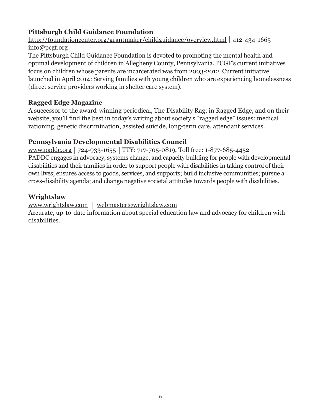### **Pittsburgh Child Guidance Foundation**

http://foundationcenter.org/grantmaker/childguidance/overview.html 412-434-1665 info@pcgf.org

The Pittsburgh Child Guidance Foundation is devoted to promoting the mental health and optimal development of children in Allegheny County, Pennsylvania. PCGF's current initiatives focus on children whose parents are incarcerated was from 2003-2012. Current initiative launched in April 2014: Serving families with young children who are experiencing homelessness (direct service providers working in shelter care system).

#### **Ragged Edge Magazine**

A successor to the award-winning periodical, The Disability Rag; in Ragged Edge, and on their website, you'll find the best in today's writing about society's "ragged edge" issues: medical rationing, genetic discrimination, assisted suicide, long-term care, attendant services.

#### **Pennsylvania Developmental Disabilities Council**

www.paddc.org |  $724-933-1655$  | TTY:  $717-705-0819$ , Toll free: 1-877-685-4452 PADDC engages in advocacy, systems change, and capacity building for people with developmental disabilities and their families in order to support people with disabilities in taking control of their own lives; ensures access to goods, services, and supports; build inclusive communities; pursue a cross-disability agenda; and change negative societal attitudes towards people with disabilities.

#### **Wrightslaw**

www.wrightslaw.com | webmaster@wrightslaw.com

Accurate, up-to-date information about special education law and advocacy for children with disabilities.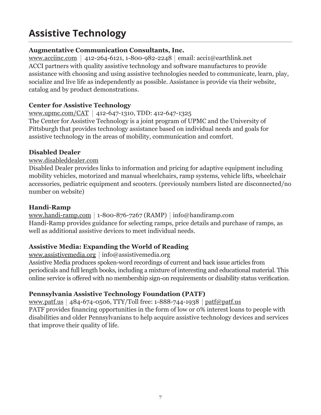# **Assistive Technology**

#### **Augmentative Communication Consultants, Inc.**

www.acciinc.com | 412-264-6121, 1-800-982-2248 | email: acci1@earthlink.net ACCI partners with quality assistive technology and software manufactures to provide assistance with choosing and using assistive technologies needed to communicate, learn, play, socialize and live life as independently as possible. Assistance is provide via their website, catalog and by product demonstrations.

#### **Center for Assistive Technology**

#### www.upmc.com/CAT | 412-647-1310, TDD: 412-647-1325

The Center for Assistive Technology is a joint program of UPMC and the University of Pittsburgh that provides technology assistance based on individual needs and goals for assistive technology in the areas of mobility, communication and comfort.

#### **Disabled Dealer**

#### www.disableddealer.com

Disabled Dealer provides links to information and pricing for adaptive equipment including mobility vehicles, motorized and manual wheelchairs, ramp systems, vehicle lifts, wheelchair accessories, pediatric equipment and scooters. (previously numbers listed are disconnected/no number on website)

#### **Handi-Ramp**

www.handi-ramp.com | 1-800-876-7267 (RAMP) | info@handiramp.com Handi-Ramp provides guidance for selecting ramps, price details and purchase of ramps, as well as additional assistive devices to meet individual needs.

# **Assistive Media: Expanding the World of Reading**

www.assistivemedia.org info@assistivemedia.org Assistive Media produces spoken-word recordings of current and back issue articles from periodicals and full length books, including a mixture of interesting and educational material. This online service is offered with no membership sign-on requirements or disability status verification.

# **Pennsylvania Assistive Technology Foundation (PATF)**

www.patf.us | 484-674-0506, TTY/Toll free: 1-888-744-1938 | patf@patf.us PATF provides financing opportunities in the form of low or 0% interest loans to people with disabilities and older Pennsylvanians to help acquire assistive technology devices and services that improve their quality of life.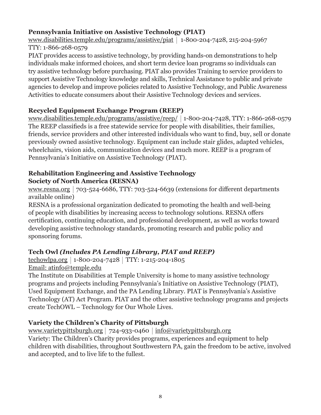# **Pennsylvania Initiative on Assistive Technology (PIAT)**

www.disabilities.temple.edu/programs/assistive/piat 1-800-204-7428, 215-204-5967 TTY: 1-866-268-0579

PIAT provides access to assistive technology, by providing hands-on demonstrations to help individuals make informed choices, and short term device loan programs so individuals can try assistive technology before purchasing. PIAT also provides Training to service providers to support Assistive Technology knowledge and skills, Technical Assistance to public and private agencies to develop and improve policies related to Assistive Technology, and Public Awareness Activities to educate consumers about their Assistive Technology devices and services.

# **Recycled Equipment Exchange Program (REEP)**

www.disabilities.temple.edu/programs/assistive/reep/ 1-800-204-7428, TTY: 1-866-268-0579 The REEP classifieds is a free statewide service for people with disabilities, their families, friends, service providers and other interested individuals who want to find, buy, sell or donate previously owned assistive technology. Equipment can include stair glides, adapted vehicles, wheelchairs, vision aids, communication devices and much more. REEP is a program of Pennsylvania's Initiative on Assistive Technology (PIAT).

#### **Rehabilitation Engineering and Assistive Technology Society of North America (RESNA)**

www.resna.org  $|703-524-6686$ , TTY:  $703-524-6639$  (extensions for different departments available online)

RESNA is a professional organization dedicated to promoting the health and well-being of people with disabilities by increasing access to technology solutions. RESNA offers certification, continuing education, and professional development, as well as works toward developing assistive technology standards, promoting research and public policy and sponsoring forums.

# **Tech Owl** *(Includes PA Lending Library, PIAT and REEP)*

techowlpa.org 1-800-204-7428 TTY: 1-215-204-1805 Email: atinfo@temple.edu

The Institute on Disabilities at Temple University is home to many assistive technology programs and projects including Pennsylvania's Initiative on Assistive Technology (PIAT), Used Equipment Exchange, and the PA Lending Library. PIAT is Pennsylvania's Assistive Technology (AT) Act Program. PIAT and the other assistive technology programs and projects create TechOWL – Technology for Our Whole Lives.

# **Variety the Children's Charity of Pittsburgh**

www.varietypittsburgh.org | 724-933-0460 | info@varietypittsburgh.org Variety: The Children's Charity provides programs, experiences and equipment to help children with disabilities, throughout Southwestern PA, gain the freedom to be active, involved and accepted, and to live life to the fullest.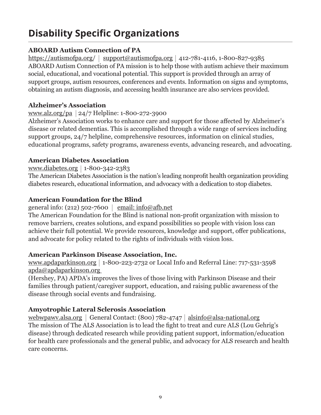# **Disability Specific Organizations**

# **ABOARD Autism Connection of PA**

https://autismofpa.org/ support@autismofpa.org 412-781-4116, 1-800-827-9385 ABOARD Autism Connection of PA mission is to help those with autism achieve their maximum social, educational, and vocational potential. This support is provided through an array of support groups, autism resources, conferences and events. Information on signs and symptoms, obtaining an autism diagnosis, and accessing health insurance are also services provided.

#### **Alzheimer's Association**

#### www.alz.org/pa 24/7 Helpline: 1-800-272-3900

Alzheimer's Association works to enhance care and support for those affected by Alzheimer's disease or related dementias. This is accomplished through a wide range of services including support groups, 24/7 helpline, comprehensive resources, information on clinical studies, educational programs, safety programs, awareness events, advancing research, and advocating.

# **American Diabetes Association**

#### www.diabetes.org 1-800-342-2383

The American Diabetes Association is the nation's leading nonprofit health organization providing diabetes research, educational information, and advocacy with a dedication to stop diabetes.

# **American Foundation for the Blind**

#### general info: (212) 502-7600  $\vert$  email: info@afb.net

The American Foundation for the Blind is national non-profit organization with mission to remove barriers, creates solutions, and expand possibilities so people with vision loss can achieve their full potential. We provide resources, knowledge and support, offer publications, and advocate for policy related to the rights of individuals with vision loss.

# **American Parkinson Disease Association, Inc.**

www.apdaparkinson.org |  $1-800-223-2732$  or Local Info and Referral Line: 717-531-3598 apda@apdaparkinson.org

(Hershey, PA) APDA's improves the lives of those living with Parkinson Disease and their families through patient/caregiver support, education, and raising public awareness of the disease through social events and fundraising.

# **Amyotrophic Lateral Sclerosis Association**

webwpawy.alsa.org | General Contact: (800) 782-4747 | alsinfo@alsa-national.org The mission of The ALS Association is to lead the fight to treat and cure ALS (Lou Gehrig's disease) through dedicated research while providing patient support, information/education for health care professionals and the general public, and advocacy for ALS research and health care concerns.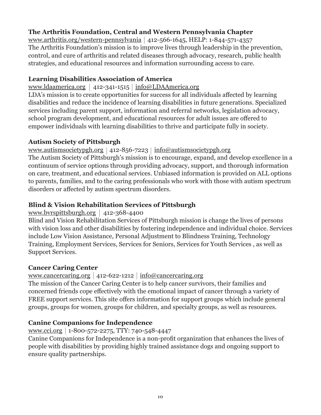# **The Arthritis Foundation, Central and Western Pennsylvania Chapter**

www.arthritis.org/western-pennsylvania 412-566-1645, HELP: 1-844-571-4357 The Arthritis Foundation's mission is to improve lives through leadership in the prevention, control, and cure of arthritis and related diseases through advocacy, research, public health strategies, and educational resources and information surrounding access to care.

#### **Learning Disabilities Association of America**

www.ldaamerica.org | 412-341-1515 | info@LDAAmerica.org

LDA's mission is to create opportunities for success for all individuals affected by learning disabilities and reduce the incidence of learning disabilities in future generations. Specialized services including parent support, information and referral networks, legislation advocacy, school program development, and educational resources for adult issues are offered to empower individuals with learning disabilities to thrive and participate fully in society.

#### **Autism Society of Pittsburgh**

www.autismsocietypgh.org | 412-856-7223 | info@autismsocietypgh.org

The Autism Society of Pittsburgh's mission is to encourage, expand, and develop excellence in a continuum of service options through providing advocacy, support, and thorough information on care, treatment, and educational services. Unbiased information is provided on ALL options to parents, families, and to the caring professionals who work with those with autism spectrum disorders or affected by autism spectrum disorders.

#### **Blind & Vision Rehabilitation Services of Pittsburgh**

#### www.bvrspittsburgh.org |  $412-368-4400$

Blind and Vision Rehabilitation Services of Pittsburgh mission is change the lives of persons with vision loss and other disabilities by fostering independence and individual choice. Services include Low Vision Assistance, Personal Adjustment to Blindness Training, Technology Training, Employment Services, Services for Seniors, Services for Youth Services , as well as Support Services.

#### **Cancer Caring Center**

#### www.cancercaring.org  $412-622-1212$  info@cancercaring.org

The mission of the Cancer Caring Center is to help cancer survivors, their families and concerned friends cope effectively with the emotional impact of cancer through a variety of FREE support services. This site offers information for support groups which include general groups, groups for women, groups for children, and specialty groups, as well as resources.

#### **Canine Companions for Independence**

#### www.cci.org 1-800-572-2275, TTY: 740-548-4447

Canine Companions for Independence is a non-profit organization that enhances the lives of people with disabilities by providing highly trained assistance dogs and ongoing support to ensure quality partnerships.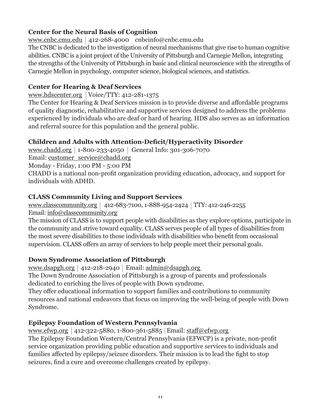### **Center for the Neural Basis of Cognition**

www.cnbc.cmu.edu 412-268-4000 cnbcinfo@cnbc.cmu.edu

The CNBC is dedicated to the investigation of neural mechanisms that give rise to human cognitive abilities. CNBC is a joint project of the University of Pittsburgh and Carnegie Mellon, integrating the strengths of the University of Pittsburgh in basic and clinical neuroscience with the strengths of Carnegie Mellon in psychology, computer science, biological sciences, and statistics.

#### **Center for Hearing & Deaf Services**

www.hdscenter.org | Voice/TTY:  $412-281-1375$ 

The Center for Hearing & Deaf Services mission is to provide diverse and affordable programs of quality diagnostic, rehabilitative and supportive services designed to address the problems experienced by individuals who are deaf or hard of hearing. HDS also serves as an information and referral source for this population and the general public.

# **Children and Adults with Attention-Deficit/Hyperactivity Disorder**

www.chadd.org 1-800-233-4050 General Info: 301-306-7070 Email: customer\_service@chadd.org Monday - Friday, 1:00 PM - 5:00 PM

CHADD is a national non-profit organization providing education, advocacy, and support for individuals with ADHD.

#### **CLASS Community Living and Support Services**

www.classcommunity.org | 412-683-7100, 1-888-954-2424 | TTY: 412-246-2255 Email: info@classcommunity.org

The mission of CLASS is to support people with disabilities as they explore options, participate in the community and strive toward equality. CLASS serves people of all types of disabilities from the most severe disabilities to those individuals with disabilities who benefit from occasional supervision. CLASS offers an array of services to help people meet their personal goals.

# **Down Syndrome Association of Pittsburgh**

www.dsapgh.org | 412-218-2940 | Email:  $\frac{\text{admin@dsapgh.org}}{\text{admin@dsapgh.org}}$ 

The Down Syndrome Association of Pittsburgh is a group of parents and professionals dedicated to enriching the lives of people with Down syndrome.

They offer educational information to support families and contributions to community resources and national endeavors that focus on improving the well-being of people with Down Syndrome.

# **Epilepsy Foundation of Western Pennsylvania**

www.efwp.org | 412-322-5880, 1-800-361-5885 | Email: staff@efwp.org

The Epilepsy Foundation Western/Central Pennsylvania (EFWCP) is a private, non-profit service organization providing public education and supportive services to individuals and families affected by epilepsy/seizure disorders. Their mission is to lead the fight to stop seizures, find a cure and overcome challenges created by epilepsy.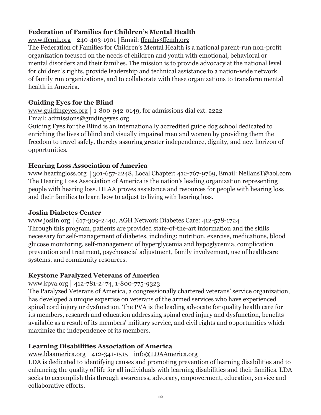# **Federation of Families for Children's Mental Health**

www.ffcmh.org | 240-403-1901 | Email: ffcmh@ffcmh.org

The Federation of Families for Children's Mental Health is a national parent-run non-profit organization focused on the needs of children and youth with emotional, behavioral or mental disorders and their families. The mission is to provide advocacy at the national level for children's rights, provide leadership and technical assistance to a nation-wide network of family run organizations, and to collaborate with these organizations to transform mental health in America.

### **Guiding Eyes for the Blind**

www.guidingeyes.org |  $1-800-942-0149$ , for admissions dial ext. 2222 Email: admissions@guidingeyes.org

Guiding Eyes for the Blind is an internationally accredited guide dog school dedicated to enriching the lives of blind and visually impaired men and women by providing them the freedom to travel safely, thereby assuring greater independence, dignity, and new horizon of opportunities.

#### **Hearing Loss Association of America**

www.hearingloss.org | 301-657-2248, Local Chapter: 412-767-9769, Email: NellansT@aol.com The Hearing Loss Association of America is the nation's leading organization representing people with hearing loss. HLAA proves assistance and resources for people with hearing loss and their families to learn how to adjust to living with hearing loss.

#### **Joslin Diabetes Center**

www.joslin.org 617-309-2440, AGH Network Diabetes Care: 412-578-1724 Through this program, patients are provided state-of-the-art information and the skills necessary for self-management of diabetes, including: nutrition, exercise, medications, blood glucose monitoring, self-management of hyperglycemia and hypoglycemia, complication prevention and treatment, psychosocial adjustment, family involvement, use of healthcare systems, and community resources.

# **Keystone Paralyzed Veterans of America**

#### www.kpva.org 412-781-2474, 1-800-775-9323

The Paralyzed Veterans of America, a congressionally chartered veterans' service organization, has developed a unique expertise on veterans of the armed services who have experienced spinal cord injury or dysfunction. The PVA is the leading advocate for quality health care for its members, research and education addressing spinal cord injury and dysfunction, benefits available as a result of its members' military service, and civil rights and opportunities which maximize the independence of its members.

# **Learning Disabilities Association of America**

www.ldaamerica.org | 412-341-1515 | info@LDAAmerica.org

LDA is dedicated to identifying causes and promoting prevention of learning disabilities and to enhancing the quality of life for all individuals with learning disabilities and their families. LDA seeks to accomplish this through awareness, advocacy, empowerment, education, service and collaborative efforts.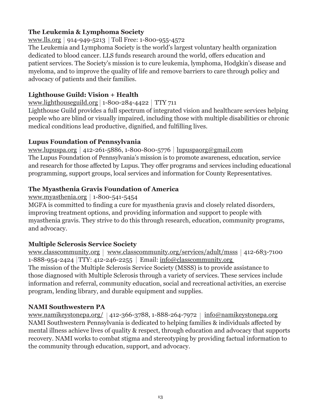#### **The Leukemia & Lymphoma Society**

www.lls.org | 914-949-5213 | Toll Free: 1-800-955-4572

The Leukemia and Lymphoma Society is the world's largest voluntary health organization dedicated to blood cancer. LLS funds research around the world, offers education and patient services. The Society's mission is to cure leukemia, lymphoma, Hodgkin's disease and myeloma, and to improve the quality of life and remove barriers to care through policy and advocacy of patients and their families.

#### **Lighthouse Guild: Vision + Health**

www.lighthouseguild.org |  $1-800-284-4422$  | TTY 711

Lighthouse Guild provides a full spectrum of integrated vision and healthcare services helping people who are blind or visually impaired, including those with multiple disabilities or chronic medical conditions lead productive, dignified, and fulfilling lives.

#### **Lupus Foundation of Pennsylvania**

www.lupuspa.org | 412-261-5886, 1-800-800-5776 | lupuspaorg@gmail.com The Lupus Foundation of Pennsylvania's mission is to promote awareness, education, service and research for those affected by Lupus. They offer programs and services including educational programming, support groups, local services and information for County Representatives.

#### **The Myasthenia Gravis Foundation of America**

www.myasthenia.org |  $1-800-541-5454$ 

MGFA is committed to finding a cure for myasthenia gravis and closely related disorders, improving treatment options, and providing information and support to people with myasthenia gravis. They strive to do this through research, education, community programs, and advocacy.

# **Multiple Sclerosis Service Society**

www.classcommunity.org | www.classcommunity.org/services/adult/msss | 412-683-7100 1-888-954-2424 TTY: 412-246-2255 Email: info@classcommunity.org The mission of the Multiple Sclerosis Service Society (MSSS) is to provide assistance to those diagnosed with Multiple Sclerosis through a variety of services. These services include information and referral, community education, social and recreational activities, an exercise program, lending library, and durable equipment and supplies.

#### **NAMI Southwestern PA**

www.namikeystonepa.org/ | 412-366-3788, 1-888-264-7972 | info@namikeystonepa.org NAMI Southwestern Pennsylvania is dedicated to helping families & individuals affected by mental illness achieve lives of quality & respect, through education and advocacy that supports recovery. NAMI works to combat stigma and stereotyping by providing factual information to the community through education, support, and advocacy.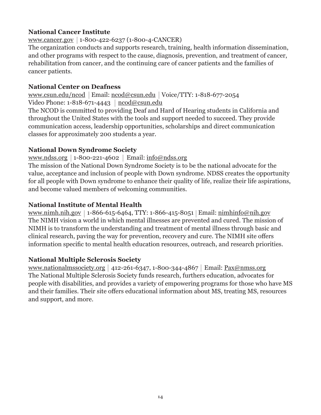#### **National Cancer Institute**

www.cancer.gov 1-800-422-6237 (1-800-4-CANCER)

The organization conducts and supports research, training, health information dissemination, and other programs with respect to the cause, diagnosis, prevention, and treatment of cancer, rehabilitation from cancer, and the continuing care of cancer patients and the families of cancer patients.

#### **National Center on Deafness**

www.csun.edu/ncod | Email: ncod@csun.edu | Voice/TTY: 1-818-677-2054 Video Phone:  $1-818-671-4443 \mid \text{ncod@csun.edu}$ 

The NCOD is committed to providing Deaf and Hard of Hearing students in California and throughout the United States with the tools and support needed to succeed. They provide communication access, leadership opportunities, scholarships and direct communication classes for approximately 200 students a year.

#### **National Down Syndrome Society**

#### www.ndss.org |  $1-800-221-4602$  | Email:  $info@ndss.org$

The mission of the National Down Syndrome Society is to be the national advocate for the value, acceptance and inclusion of people with Down syndrome. NDSS creates the opportunity for all people with Down syndrome to enhance their quality of life, realize their life aspirations, and become valued members of welcoming communities.

#### **National Institute of Mental Health**

www.nimh.nih.gov | 1-866-615-6464, TTY: 1-866-415-8051 | Email: nimhinfo@nih.gov The NIMH vision a world in which mental illnesses are prevented and cured. The mission of NIMH is to transform the understanding and treatment of mental illness through basic and clinical research, paving the way for prevention, recovery and cure. The NIMH site offers information specific to mental health education resources, outreach, and research priorities.

#### **National Multiple Sclerosis Society**

www.nationalmssociety.org | 412-261-6347, 1-800-344-4867 | Email:  $Pax@nmss.org$ The National Multiple Sclerosis Society funds research, furthers education, advocates for people with disabilities, and provides a variety of empowering programs for those who have MS and their families. Their site offers educational information about MS, treating MS, resources and support, and more.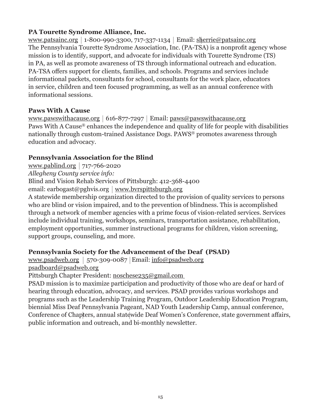#### **PA Tourette Syndrome Alliance, Inc.**

www.patsainc.org |  $1-800-990-3300$ ,  $717-337-1134$  | Email: sherrie@patsainc.org The Pennsylvania Tourette Syndrome Association, Inc. (PA-TSA) is a nonprofit agency whose mission is to identify, support, and advocate for individuals with Tourette Syndrome (TS) in PA, as well as promote awareness of TS through informational outreach and education. PA-TSA offers support for clients, families, and schools. Programs and services include informational packets, consultants for school, consultants for the work place, educators in service, children and teen focused programming, as well as an annual conference with informational sessions.

#### **Paws With A Cause**

www.pawswithacause.org |  $616-877-7297$  | Email: paws@pawswithacause.org Paws With A Cause® enhances the independence and quality of life for people with disabilities nationally through custom-trained Assistance Dogs. PAWS® promotes awareness through education and advocacy.

#### **Pennsylvania Association for the Blind**

www.pablind.org  $717-766-2020$ 

*Allegheny County service info:*

Blind and Vision Rehab Services of Pittsburgh: 412-368-4400

email: earbogast@pghvis.org | www.bvrspittsburgh.org

A statewide membership organization directed to the provision of quality services to persons who are blind or vision impaired, and to the prevention of blindness. This is accomplished through a network of member agencies with a prime focus of vision-related services. Services include individual training, workshops, seminars, transportation assistance, rehabilitation, employment opportunities, summer instructional programs for children, vision screening, support groups, counseling, and more.

# **Pennsylvania Society for the Advancement of the Deaf (PSAD)**

www.psadweb.org | 570-309-0087 | Email:  $info@psadweb.org$ psadboard@psadweb.org

Pittsburgh Chapter President: noschese235@gmail.com

PSAD mission is to maximize participation and productivity of those who are deaf or hard of hearing through education, advocacy, and services. PSAD provides various workshops and programs such as the Leadership Training Program, Outdoor Leadership Education Program, biennial Miss Deaf Pennsylvania Pageant, NAD Youth Leadership Camp, annual conference, Conference of Chapters, annual statewide Deaf Women's Conference, state government affairs, public information and outreach, and bi-monthly newsletter.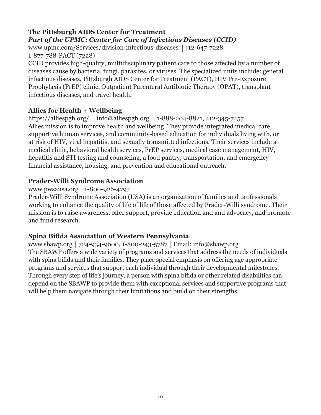# **The Pittsburgh AIDS Center for Treatment** *Part of the UPMC: Center for Care of Infectious Diseases (CCID)*

www.upmc.com/Services/division-infectious-diseases 412-647-7228 1-877-788-PACT (7228)

CCID provides high-quality, multidisciplinary patient care to those affected by a number of diseases cause by bacteria, fungi, parasites, or viruses. The specialized units include: general infectious diseases, Pittsburgh AIDS Center for Treatment (PACT), HIV Pre-Exposure Prophylaxis (PrEP) clinic, Outpatient Parenteral Antibiotic Therapy (OPAT), transplant infectious diseases, and travel health.

#### **Allies for Health + Wellbeing**

https://alliespgh.org/  $|$  info@alliespgh.org  $|$  1-888-204-8821, 412-345-7457 Allies mission is to improve health and wellbeing. They provide integrated medical care, supportive human services, and community-based education for individuals living with, or at risk of HIV, viral hepatitis, and sexually transmitted infections. Their services include a medical clinic, behavioral health services, PrEP services, medical case management, HIV, hepatitis and STI testing and counseling, a food pantry, transportation, and emergency financial assistance, housing, and prevention and educational outreach.

#### **Prader-Willi Syndrome Association**

#### www.pwsausa.org 1-800-926-4797

Prader-Willi Syndrome Association (USA) is an organization of families and professionals working to enhance the quality of life of life of those affected by Prader-Willi syndrome. Their mission is to raise awareness, offer support, provide education and and advocacy, and promote and fund research.

#### **Spina Bifida Association of Western Pennsylvania**

www.sbawp.org |  $724-934-9600$ , 1-800-243-5787 | Email: info@sbawp.org The SBAWP offers a wide variety of programs and services that address the needs of individuals with spina bifida and their families. They place special emphasis on offering age appropriate programs and services that support each individual through their developmental milestones. Through every step of life's journey, a person with spina bifida or other related disabilities can depend on the SBAWP to provide them with exceptional services and supportive programs that will help them navigate through their limitations and build on their strengths.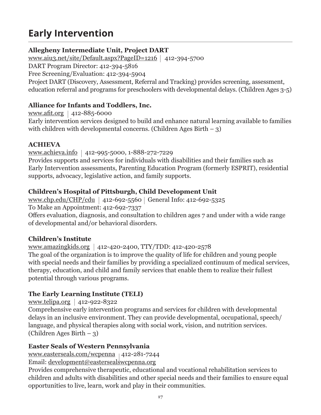# **Early Intervention**

# **Allegheny Intermediate Unit, Project DART**

www.aiu3.net/site/Default.aspx?PageID=1216  $\mid$  412-394-5700

DART Program Director: 412-394-5816

Free Screening/Evaluation: 412-394-5904

Project DART (Discovery, Assessment, Referral and Tracking) provides screening, assessment, education referral and programs for preschoolers with developmental delays. (Children Ages 3-5)

### **Alliance for Infants and Toddlers, Inc.**

www.afit.org | 412-885-6000 Early intervention services designed to build and enhance natural learning available to families with children with developmental concerns. (Children Ages Birth  $-3$ )

#### **ACHIEVA**

www.achieva.info 412-995-5000, 1-888-272-7229

Provides supports and services for individuals with disabilities and their families such as Early Intervention assessments, Parenting Education Program (formerly ESPRIT), residential supports, advocacy, legislative action, and family supports.

# **Children's Hospital of Pittsburgh, Child Development Unit**

www.chp.edu/CHP/cdu | 412-692-5560 | General Info: 412-692-5325

To Make an Appointment: 412-692-7337

Offers evaluation, diagnosis, and consultation to children ages 7 and under with a wide range of developmental and/or behavioral disorders.

# **Children's Institute**

www.amazingkids.org 412-420-2400, TTY/TDD: 412-420-2578 The goal of the organization is to improve the quality of life for children and young people with special needs and their families by providing a specialized continuum of medical services, therapy, education, and child and family services that enable them to realize their fullest potential through various programs.

# **The Early Learning Institute (TELI)**

www.telipa.org  $412-922-8322$ 

Comprehensive early intervention programs and services for children with developmental delays in an inclusive environment. They can provide developmental, occupational, speech/ language, and physical therapies along with social work, vision, and nutrition services. (Children Ages Birth – 3)

# **Easter Seals of Western Pennsylvania**

www.easterseals.com/wcpenna 412-281-7244

Email: development@eastersealswcpenna.org

Provides comprehensive therapeutic, educational and vocational rehabilitation services to children and adults with disabilities and other special needs and their families to ensure equal opportunities to live, learn, work and play in their communities.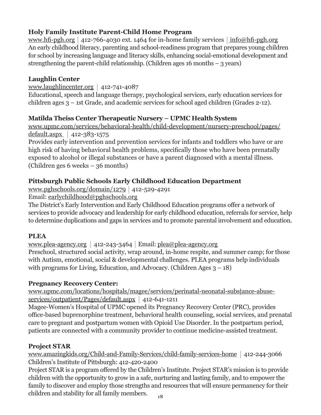# **Holy Family Institute Parent-Child Home Program**

www.hfi-pgh.org  $|412-766-4030$  ext. 1464 for in-home family services  $|$  info@hfi-pgh.org An early childhood literacy, parenting and school-readiness program that prepares young children for school by increasing language and literacy skills, enhancing social-emotional development and strengthening the parent-child relationship. (Children ages 16 months  $-$  3 years)

# **Laughlin Center**

www.laughlincenter.org |  $412-741-4087$ Educational, speech and language therapy, psychological services, early education services for children ages 3 – 1st Grade, and academic services for school aged children (Grades 2-12).

# **Matilda Theiss Center Therapeutic Nursery – UPMC Health System**

www.upmc.com/services/behavioral-health/child-development/nursery-preschool/pages/ default.aspx  $|412-383-1575$ 

Provides early intervention and prevention services for infants and toddlers who have or are high risk of having behavioral health problems, specifically those who have been prenatally exposed to alcohol or illegal substances or have a parent diagnosed with a mental illness. (Children ges 6 weeks – 36 months)

# **Pittsburgh Public Schools Early Childhood Education Department**

www.pghschools.org/domain/1279 412-529-4291

Email: earlychildhood@pghschools.org

The District's Early Intervention and Early Childhood Education programs offer a network of services to provide advocacy and leadership for early childhood education, referrals for service, help to determine duplications and gaps in services and to promote parental involvement and education.

# **PLEA**

www.plea-agency.org 412-243-3464 Email: plea@plea-agency.org Preschool, structured social activity, wrap around, in-home respite, and summer camp; for those with Autism, emotional, social & developmental challenges. PLEA programs help individuals with programs for Living, Education, and Advocacy. (Children Ages  $3 - 18$ )

# **Pregnancy Recovery Center:**

www.upmc.com/locations/hospitals/magee/services/perinatal-neonatal-substance-abuseservices/outpatient/Pages/default.aspx | 412-641-1211

Magee-Women's Hospital of UPMC opened its Pregnancy Recovery Center (PRC), provides office-based buprenorphine treatment, behavioral health counseling, social services, and prenatal care to pregnant and postpartum women with Opioid Use Disorder. In the postpartum period, patients are connected with a community provider to continue medicine-assisted treatment.

# **Project STAR**

www.amazingkids.org/Child-and-Family-Services/child-family-services-home 412-244-3066 Children's Institute of Pittsburgh: 412-420-2400

**18** Project STAR is a program offered by the Children's Institute. Project STAR's mission is to provide children with the opportunity to grow in a safe, nurturing and lasting family, and to empower the family to discover and employ those strengths and resources that will ensure permanency for their children and stability for all family members.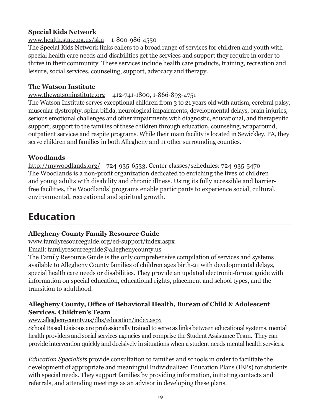#### **Special Kids Network**

#### www.health.state.pa.us/skn |  $1-800-986-4550$

The Special Kids Network links callers to a broad range of services for children and youth with special health care needs and disabilities get the services and support they require in order to thrive in their community. These services include health care products, training, recreation and leisure, social services, counseling, support, advocacy and therapy.

#### **The Watson Institute**

#### www.thewatsoninstitute.org 412-741-1800, 1-866-893-4751

The Watson Institute serves exceptional children from 3 to 21 years old with autism, cerebral palsy, muscular dystrophy, spina bifida, neurological impairments, developmental delays, brain injuries, serious emotional challenges and other impairments with diagnostic, educational, and therapeutic support; support to the families of these children through education, counseling, wraparound, outpatient services and respite programs. While their main facility is located in Sewickley, PA, they serve children and families in both Allegheny and 11 other surrounding counties.

# **Woodlands**

http://mywoodlands.org/ 724-935-6533, Center classes/schedules: 724-935-5470 The Woodlands is a non-profit organization dedicated to enriching the lives of children and young adults with disability and chronic illness. Using its fully accessible and barrierfree facilities, the Woodlands' programs enable participants to experience social, cultural, environmental, recreational and spiritual growth.

# **Education**

# **Allegheny County Family Resource Guide**

www.familyresourceguide.org/ed-support/index.aspx

Email: familyresourceguide@alleghenycounty.us

The Family Resource Guide is the only comprehensive compilation of services and systems available to Allegheny County families of children ages birth-21 with developmental delays, special health care needs or disabilities. They provide an updated electronic-format guide with information on special education, educational rights, placement and school types, and the transition to adulthood.

#### **Allegheny County, Office of Behavioral Health, Bureau of Child & Adolescent Services, Children's Team**

#### www.alleghenycounty.us/dhs/education/index.aspx

School Based Liaisons are professionally trained to serve as links between educational systems, mental health providers and social services agencies and comprise the Student Assistance Team. They can provide intervention quickly and decisively in situations when a student needs mental health services.

*Education Specialists* provide consultation to families and schools in order to facilitate the development of appropriate and meaningful Individualized Education Plans (IEPs) for students with special needs. They support families by providing information, initiating contacts and referrals, and attending meetings as an advisor in developing these plans.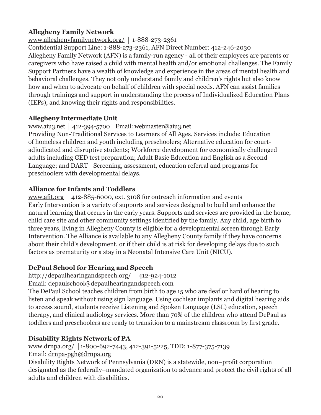# **Allegheny Family Network**

www.alleghenyfamilynetwork.org/ 1-888-273-2361

Confidential Support Line: 1-888-273-2361, AFN Direct Number: 412-246-2030 Allegheny Family Network (AFN) is a family-run agency - all of their employees are parents or caregivers who have raised a child with mental health and/or emotional challenges. The Family Support Partners have a wealth of knowledge and experience in the areas of mental health and behavioral challenges. They not only understand family and children's rights but also know how and when to advocate on behalf of children with special needs. AFN can assist families through trainings and support in understanding the process of Individualized Education Plans (IEPs), and knowing their rights and responsibilities.

# **Allegheny Intermediate Unit**

www.aiu3.net 412-394-5700 Email: webmaster@aiu3.net

Providing Non-Traditional Services to Learners of All Ages. Services include: Education of homeless children and youth including preschoolers; Alternative education for courtadjudicated and disruptive students; Workforce development for economically challenged adults including GED test preparation; Adult Basic Education and English as a Second Language; and DART - Screening, assessment, education referral and programs for preschoolers with developmental delays.

# **Alliance for Infants and Toddlers**

www.afit.org  $|$  412-885-6000, ext. 3108 for outreach information and events Early Intervention is a variety of supports and services designed to build and enhance the natural learning that occurs in the early years. Supports and services are provided in the home, child care site and other community settings identified by the family. Any child, age birth to three years, living in Allegheny County is eligible for a developmental screen through Early Intervention. The Alliance is available to any Allegheny County family if they have concerns about their child's development, or if their child is at risk for developing delays due to such factors as prematurity or a stay in a Neonatal Intensive Care Unit (NICU).

# **DePaul School for Hearing and Speech**

http://depaulhearingandspeech.org/ 412-924-1012

Email: depaulschool@depaulhearingandspeech.com

The DePaul School teaches children from birth to age 15 who are deaf or hard of hearing to listen and speak without using sign language. Using cochlear implants and digital hearing aids to access sound, students receive Listening and Spoken Language (LSL) education, speech therapy, and clinical audiology services. More than 70% of the children who attend DePaul as toddlers and preschoolers are ready to transition to a mainstream classroom by first grade.

# **Disability Rights Network of PA**

www.drnpa.org/ 1-800-692-7443, 412-391-5225, TDD: 1-877-375-7139 Email: drnpa-pgh@drnpa.org

Disability Rights Network of Pennsylvania (DRN) is a statewide, non–profit corporation designated as the federally–mandated organization to advance and protect the civil rights of all adults and children with disabilities.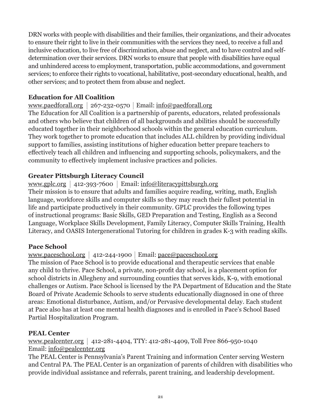DRN works with people with disabilities and their families, their organizations, and their advocates to ensure their right to live in their communities with the services they need, to receive a full and inclusive education, to live free of discrimination, abuse and neglect, and to have control and selfdetermination over their services. DRN works to ensure that people with disabilities have equal and unhindered access to employment, transportation, public accommodations, and government services; to enforce their rights to vocational, habilitative, post-secondary educational, health, and other services; and to protect them from abuse and neglect.

#### **Education for All Coalition**

#### www.paedforall.org |  $267-232-0570$  | Email: info@paedforall.org

The Education for All Coalition is a partnership of parents, educators, related professionals and others who believe that children of all backgrounds and abilities should be successfully educated together in their neighborhood schools within the general education curriculum. They work together to promote education that includes ALL children by providing individual support to families, assisting institutions of higher education better prepare teachers to effectively teach all children and influencing and supporting schools, policymakers, and the community to effectively implement inclusive practices and policies.

#### **Greater Pittsburgh Literacy Council**

#### www.gplc.org  $|412-393-7600|$  Email: info@literacypittsburgh.org

Their mission is to ensure that adults and families acquire reading, writing, math, English language, workforce skills and computer skills so they may reach their fullest potential in life and participate productively in their community. GPLC provides the following types of instructional programs: Basic Skills, GED Preparation and Testing, English as a Second Language, Workplace Skills Development, Family Literacy, Computer Skills Training, Health Literacy, and OASIS Intergenerational Tutoring for children in grades K-3 with reading skills.

#### **Pace School**

#### www.paceschool.org 412-244-1900 Email: pace@paceschool.org

The mission of Pace School is to provide educational and therapeutic services that enable any child to thrive. Pace School, a private, non-profit day school, is a placement option for school districts in Allegheny and surrounding counties that serves kids, K-9, with emotional challenges or Autism. Pace School is licensed by the PA Department of Education and the State Board of Private Academic Schools to serve students educationally diagnosed in one of three areas: Emotional disturbance, Autism, and/or Pervasive developmental delay. Each student at Pace also has at least one mental health diagnoses and is enrolled in Pace's School Based Partial Hospitalization Program.

#### **PEAL Center**

www.pealcenter.org | 412-281-4404, TTY: 412-281-4409, Toll Free 866-950-1040 Email: info@pealcenter.org

The PEAL Center is Pennsylvania's Parent Training and information Center serving Western and Central PA. The PEAL Center is an organization of parents of children with disabilities who provide individual assistance and referrals, parent training, and leadership development.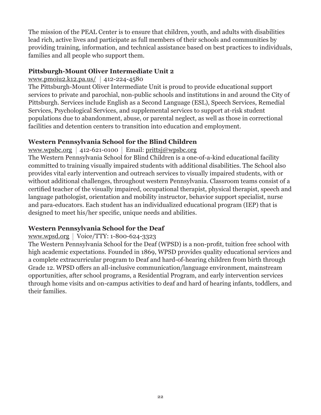The mission of the PEAL Center is to ensure that children, youth, and adults with disabilities lead rich, active lives and participate as full members of their schools and communities by providing training, information, and technical assistance based on best practices to individuals, families and all people who support them.

#### **Pittsburgh-Mount Oliver Intermediate Unit 2**

#### www.pmoiu2.k12.pa.us/ |  $412-224-4580$

The Pittsburgh-Mount Oliver Intermediate Unit is proud to provide educational support services to private and parochial, non-public schools and institutions in and around the City of Pittsburgh. Services include English as a Second Language (ESL), Speech Services, Remedial Services, Psychological Services, and supplemental services to support at-risk student populations due to abandonment, abuse, or parental neglect, as well as those in correctional facilities and detention centers to transition into education and employment.

#### **Western Pennsylvania School for the Blind Children**

www.wpsbc.org | 412-621-0100 | Email: prittsj@wpsbc.org

The Western Pennsylvania School for Blind Children is a one-of-a-kind educational facility committed to training visually impaired students with additional disabilities. The School also provides vital early intervention and outreach services to visually impaired students, with or without additional challenges, throughout western Pennsylvania. Classroom teams consist of a certified teacher of the visually impaired, occupational therapist, physical therapist, speech and language pathologist, orientation and mobility instructor, behavior support specialist, nurse and para-educators. Each student has an individualized educational program (IEP) that is designed to meet his/her specific, unique needs and abilities.

#### **Western Pennsylvania School for the Deaf**

#### www.wpsd.org |  $Voice/TTY$ : 1-800-624-3323

The Western Pennsylvania School for the Deaf (WPSD) is a non-profit, tuition free school with high academic expectations. Founded in 1869, WPSD provides quality educational services and a complete extracurricular program to Deaf and hard-of-hearing children from birth through Grade 12. WPSD offers an all-inclusive communication/language environment, mainstream opportunities, after school programs, a Residential Program, and early intervention services through home visits and on-campus activities to deaf and hard of hearing infants, toddlers, and their families.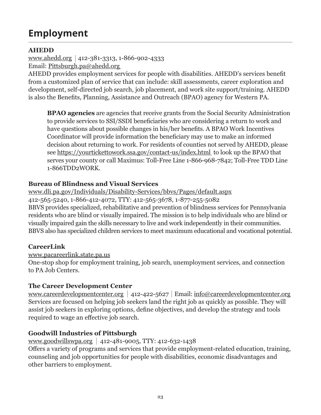# **Employment**

#### **AHEDD**

www.ahedd.org 412-381-3313, 1-866-902-4333 Email: Pittsburgh.pa@ahedd.org

AHEDD provides employment services for people with disabilities. AHEDD's services benefit from a customized plan of service that can include: skill assessments, career exploration and development, self-directed job search, job placement, and work site support/training. AHEDD is also the Benefits, Planning, Assistance and Outreach (BPAO) agency for Western PA.

**BPAO agencies** are agencies that receive grants from the Social Security Administration to provide services to SSI/SSDI beneficiaries who are considering a return to work and have questions about possible changes in his/her benefits. A BPAO Work Incentives Coordinator will provide information the beneficiary may use to make an informed decision about returning to work. For residents of counties not served by AHEDD, please see https://yourtickettowork.ssa.gov/contact-us/index.html to look up the BPAO that serves your county or call Maximus: Toll-Free Line 1-866-968-7842; Toll-Free TDD Line 1-866TDD2WORK.

#### **Bureau of Blindness and Visual Services**

www.dli.pa.gov/Individuals/Disability-Services/bbvs/Pages/default.aspx 412-565-5240, 1-866-412-4072, TTY: 412-565-3678, 1-877-255-5082 BBVS provides specialized, rehabilitative and prevention of blindness services for Pennsylvania residents who are blind or visually impaired. The mission is to help individuals who are blind or visually impaired gain the skills necessary to live and work independently in their communities. BBVS also has specialized children services to meet maximum educational and vocational potential.

#### **CareerLink**

#### www.pacareerlink.state.pa.us

One-stop shop for employment training, job search, unemployment services, and connection to PA Job Centers.

#### **The Career Development Center**

www.careerdevelopmentcenter.org 412-422-5627 Email: info@careerdevelopmentcenter.org Services are focused on helping job seekers land the right job as quickly as possible. They will assist job seekers in exploring options, define objectives, and develop the strategy and tools required to wage an effective job search.

#### **Goodwill Industries of Pittsburgh**

www.goodwillswpa.org  $412-481-9005$ , TTY: 412-632-1438 Offers a variety of programs and services that provide employment-related education, training, counseling and job opportunities for people with disabilities, economic disadvantages and other barriers to employment.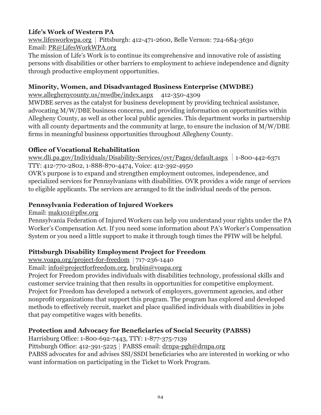# **Life's Work of Western PA**

www.lifesworkwpa.org | Pittsburgh: 412-471-2600, Belle Vernon: 724-684-3630 Email: PR@LifesWorkWPA.org

The mission of Life's Work is to continue its comprehensive and innovative role of assisting persons with disabilities or other barriers to employment to achieve independence and dignity through productive employment opportunities.

#### **Minority, Women, and Disadvantaged Business Enterprise (MWDBE)**

www.alleghenycounty.us/mwdbe/index.aspx 412-350-4309

MWDBE serves as the catalyst for business development by providing technical assistance, advocating M/W/DBE business concerns, and providing information on opportunities within Allegheny County, as well as other local public agencies. This department works in partnership with all county departments and the community at large, to ensure the inclusion of  $M/W/DBE$ firms in meaningful business opportunities throughout Allegheny County.

#### **Office of Vocational Rehabilitation**

www.dli.pa.gov/Individuals/Disability-Services/ovr/Pages/default.aspx 1-800-442-6371 TTY: 412-770-2802, 1-888-870-4474, Voice: 412-392-4950

OVR's purpose is to expand and strengthen employment outcomes, independence, and specialized services for Pennsylvanians with disabilities. OVR provides a wide range of services to eligible applicants. The services are arranged to fit the individual needs of the person.

#### **Pennsylvania Federation of Injured Workers**

Email: mak101@pfiw.org

Pennsylvania Federation of Injured Workers can help you understand your rights under the PA Worker's Compensation Act. If you need some information about PA's Worker's Compensation System or you need a little support to make it through tough times the PFIW will be helpful.

#### **Pittsburgh Disability Employment Project for Freedom**

www.voapa.org/project-for-freedom  $717-236-1440$ 

Email: info@projectforfreedom.org, brubin@voapa.org

Project for Freedom provides individuals with disabilities technology, professional skills and customer service training that then results in opportunities for competitive employment. Project for Freedom has developed a network of employers, government agencies, and other nonprofit organizations that support this program. The program has explored and developed methods to effectively recruit, market and place qualified individuals with disabilities in jobs that pay competitive wages with benefits.

#### **Protection and Advocacy for Beneficiaries of Social Security (PABSS)**

Harrisburg Office: 1-800-692-7443, TTY: 1-877-375-7139

Pittsburgh Office: 412-391-5225 | PABSS email:  $drnpq - pgh@drnpq.$ org

PABSS advocates for and advises SSI/SSDI beneficiaries who are interested in working or who want information on participating in the Ticket to Work Program.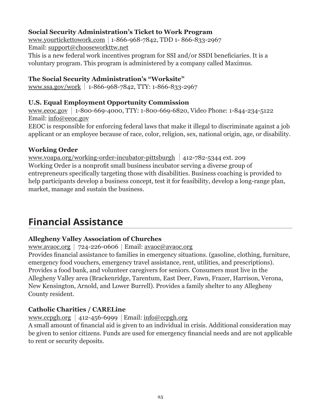### **Social Security Administration's Ticket to Work Program**

www.yourtickettowork.com 1-866-968-7842, TDD 1- 866-833-2967 Email: support@chooseworkttw.net This is a new federal work incentives program for SSI and/or SSDI beneficiaries. It is a

voluntary program. This program is administered by a company called Maximus.

#### **The Social Security Administration's "Worksite"**

www.ssa.gov/work 1-866-968-7842, TTY: 1-866-833-2967

#### **U.S. Equal Employment Opportunity Commission**

www.eeoc.gov 1-800-669-4000, TTY: 1-800-669-6820, Video Phone: 1-844-234-5122 Email: info@eeoc.gov

EEOC is responsible for enforcing federal laws that make it illegal to discriminate against a job applicant or an employee because of race, color, religion, sex, national origin, age, or disability.

#### **Working Order**

www.voapa.org/working-order-incubator-pittsburgh  $|412-782-5344$  ext. 209 Working Order is a nonprofit small business incubator serving a diverse group of entrepreneurs specifically targeting those with disabilities. Business coaching is provided to help participants develop a business concept, test it for feasibility, develop a long-range plan, market, manage and sustain the business.

# **Financial Assistance**

#### **Allegheny Valley Association of Churches**

www.avaoc.org |  $724-226-0606$  | Email: avaoc@avaoc.org

Provides financial assistance to families in emergency situations. (gasoline, clothing, furniture, emergency food vouchers, emergency travel assistance, rent, utilities, and prescriptions). Provides a food bank, and volunteer caregivers for seniors. Consumers must live in the Allegheny Valley area (Brackenridge, Tarentum, East Deer, Fawn, Frazer, Harrison, Verona, New Kensington, Arnold, and Lower Burrell). Provides a family shelter to any Allegheny County resident.

#### **Catholic Charities / CARELine**

www.ccpgh.org | 412-456-6999 | Email: info@ccpgh.org

A small amount of financial aid is given to an individual in crisis. Additional consideration may be given to senior citizens. Funds are used for emergency financial needs and are not applicable to rent or security deposits.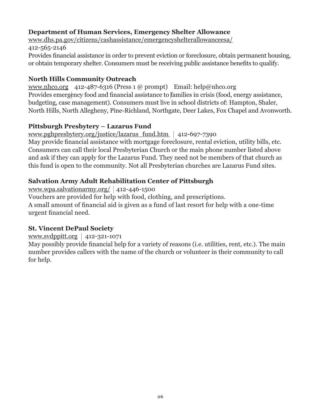### **Department of Human Services, Emergency Shelter Allowance**

www.dhs.pa.gov/citizens/cashassistance/emergencyshelterallowanceesa/ 412-565-2146 Provides financial assistance in order to prevent eviction or foreclosure, obtain permanent housing, or obtain temporary shelter. Consumers must be receiving public assistance benefits to qualify.

#### **North Hills Community Outreach**

www.nhco.org 412-487-6316 (Press 1 @ prompt) Email: help@nhco.org Provides emergency food and financial assistance to families in crisis (food, energy assistance, budgeting, case management). Consumers must live in school districts of: Hampton, Shaler, North Hills, North Allegheny, Pine-Richland, Northgate, Deer Lakes, Fox Chapel and Avonworth.

#### **Pittsburgh Presbytery – Lazarus Fund**

www.pghpresbytery.org/justice/lazarus\_fund.htm 412-697-7390

May provide financial assistance with mortgage foreclosure, rental eviction, utility bills, etc. Consumers can call their local Presbyterian Church or the main phone number listed above and ask if they can apply for the Lazarus Fund. They need not be members of that church as this fund is open to the community. Not all Presbyterian churches are Lazarus Fund sites.

#### **Salvation Army Adult Rehabilitation Center of Pittsburgh**

www.wpa.salvationarmy.org/  $|412-446-1500$ Vouchers are provided for help with food, clothing, and prescriptions. A small amount of financial aid is given as a fund of last resort for help with a one-time

urgent financial need.

#### **St. Vincent DePaul Society**

www.svdppitt.org |  $412-321-1071$ 

May possibly provide financial help for a variety of reasons (i.e. utilities, rent, etc.). The main number provides callers with the name of the church or volunteer in their community to call for help.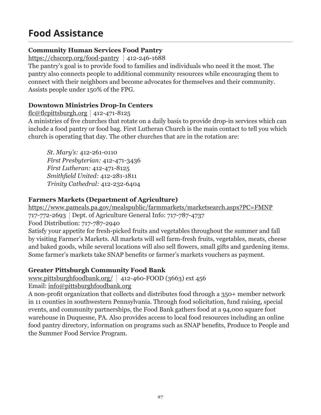# **Food Assistance**

### **Community Human Services Food Pantry**

https://chscorp.org/food-pantry  $|412-246-1688$ 

The pantry's goal is to provide food to families and individuals who need it the most. The pantry also connects people to additional community resources while encouraging them to connect with their neighbors and become advocates for themselves and their community. Assists people under 150% of the FPG.

# **Downtown Ministries Drop-In Centers**

flc@flcpittsburgh.org  $412-471-8125$ 

A ministries of five churches that rotate on a daily basis to provide drop-in services which can include a food pantry or food bag. First Lutheran Church is the main contact to tell you which church is operating that day. The other churches that are in the rotation are:

*St. Mary's:* 412-261-0110 *First Presbyterian:* 412-471-3436 *First Lutheran:* 412-471-8125 *Smithfield United:* 412-281-1811 *Trinity Cathedral:* 412-232-6404

#### **Farmers Markets (Department of Agriculture)**

https://www.pameals.pa.gov/mealspublic/farmmarkets/marketsearch.aspx?PC=FMNP 717-772-2693 Dept. of Agriculture General Info: 717-787-4737 Food Distribution: 717-787-2940

Satisfy your appetite for fresh-picked fruits and vegetables throughout the summer and fall by visiting Farmer's Markets. All markets will sell farm-fresh fruits, vegetables, meats, cheese and baked goods, while several locations will also sell flowers, small gifts and gardening items. Some farmer's markets take SNAP benefits or farmer's markets vouchers as payment.

#### **Greater Pittsburgh Community Food Bank**

www.pittsburghfoodbank.org/  $|$  412-460-FOOD (3663) ext 456

Email: info@pittsburghfoodbank.org

A non-profit organization that collects and distributes food through a 350+ member network in 11 counties in southwestern Pennsylvania. Through food solicitation, fund raising, special events, and community partnerships, the Food Bank gathers food at a 94,000 square foot warehouse in Duquesne, PA. Also provides access to local food resources including an online food pantry directory, information on programs such as SNAP benefits, Produce to People and the Summer Food Service Program.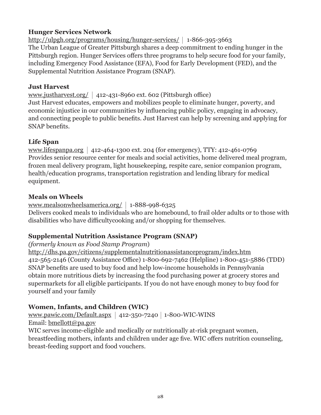#### **Hunger Services Network**

http://ulpgh.org/programs/housing/hunger-services/ 1-866-395-3663 The Urban League of Greater Pittsburgh shares a deep commitment to ending hunger in the Pittsburgh region. Hunger Services offers three programs to help secure food for your family, including Emergency Food Assistance (EFA), Food for Early Development (FED), and the Supplemental Nutrition Assistance Program (SNAP).

#### **Just Harvest**

www.justharvest.org/ 412-431-8960 ext. 602 (Pittsburgh office) Just Harvest educates, empowers and mobilizes people to eliminate hunger, poverty, and economic injustice in our communities by influencing public policy, engaging in advocacy, and connecting people to public benefits. Just Harvest can help by screening and applying for SNAP benefits.

#### **Life Span**

www.lifespanpa.org | 412-464-1300 ext. 204 (for emergency), TTY: 412-461-0769 Provides senior resource center for meals and social activities, home delivered meal program, frozen meal delivery program, light housekeeping, respite care, senior companion program, health/education programs, transportation registration and lending library for medical equipment.

#### **Meals on Wheels**

www.mealsonwheelsamerica.org/ 1-888-998-6325

Delivers cooked meals to individuals who are homebound, to frail older adults or to those with disabilities who have difficultycooking and/or shopping for themselves.

#### **Supplemental Nutrition Assistance Program (SNAP)**

#### *(formerly known as Food Stamp Program*)

http://dhs.pa.gov/citizens/supplementalnutritionassistanceprogram/index.htm 412-565-2146 (County Assistance Office) 1-800-692-7462 (Helpline) 1-800-451-5886 (TDD) SNAP benefits are used to buy food and help low-income households in Pennsylvania obtain more nutritious diets by increasing the food purchasing power at grocery stores and supermarkets for all eligible participants. If you do not have enough money to buy food for yourself and your family

# **Women, Infants, and Children (WIC)**

www.pawic.com/Default.aspx  $412-350-7240$  1-800-WIC-WINS Email: bmellott@pa.gov

WIC serves income-eligible and medically or nutritionally at-risk pregnant women, breastfeeding mothers, infants and children under age five. WIC offers nutrition counseling, breast-feeding support and food vouchers.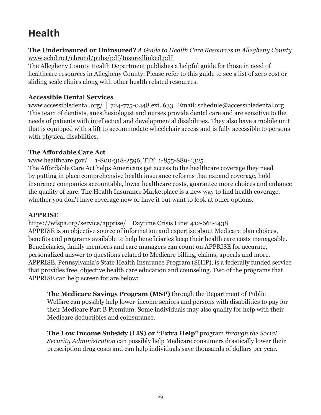# **Health**

**The Underinsured or Uninsured?** *A Guide to Health Care Resources in Allegheny County* www.achd.net/chrond/pubs/pdf/Insuredlinked.pdf

The Allegheny County Health Department publishes a helpful guide for those in need of healthcare resources in Allegheny County. Please refer to this guide to see a list of zero cost or sliding scale clinics along with other health related resources.

#### **Accessible Dental Services**

www.accessibledental.org/ 724-775-0448 ext. 633 Email: schedule@accessibledental.org This team of dentists, anesthesiologist and nurses provide dental care and are sensitive to the needs of patients with intellectual and developmental disabilities. They also have a mobile unit that is equipped with a lift to accommodate wheelchair access and is fully accessible to persons with physical disabilities.

#### **The Affordable Care Act**

www.healthcare.gov/ 1-800-318-2596, TTY: 1-855-889-4325 The Affordable Care Act helps Americans get access to the healthcare coverage they need by putting in place comprehensive health insurance reforms that expand coverage, hold insurance companies accountable, lower healthcare costs, guarantee more choices and enhance the quality of care. The Health Insurance Marketplace is a new way to find health coverage, whether you don't have coverage now or have it but want to look at other options.

#### **APPRISE**

https://wfspa.org/service/apprise/ Daytime Crisis Line: 412-661-1438 APPRISE is an objective source of information and expertise about Medicare plan choices, benefits and programs available to help beneficiaries keep their health care costs manageable. Beneficiaries, family members and care managers can count on APPRISE for accurate, personalized answer to questions related to Medicare billing, claims, appeals and more. APPRISE, Pennsylvania's State Health Insurance Program (SHIP), is a federally funded service that provides free, objective health care education and counseling. Two of the programs that APPRISE can help screen for are below:

**The Medicare Savings Program (MSP)** through the Department of Public Welfare can possibly help lower-income seniors and persons with disabilities to pay for their Medicare Part B Premium. Some individuals may also qualify for help with their Medicare deductibles and coinsurance.

**The Low Income Subsidy (LIS) or "Extra Help"** program *through the Social Security Administration* can possibly help Medicare consumers drastically lower their prescription drug costs and can help individuals save thousands of dollars per year.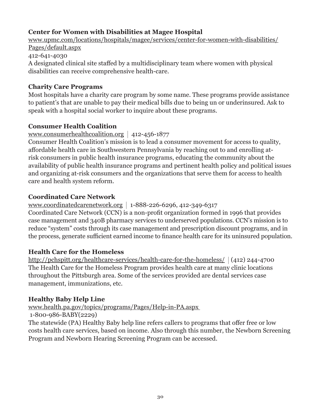# **Center for Women with Disabilities at Magee Hospital**

www.upmc.com/locations/hospitals/magee/services/center-for-women-with-disabilities/ Pages/default.aspx 412-641-4030 A designated clinical site staffed by a multidisciplinary team where women with physical disabilities can receive comprehensive health-care.

#### **Charity Care Programs**

Most hospitals have a charity care program by some name. These programs provide assistance to patient's that are unable to pay their medical bills due to being un or underinsured. Ask to speak with a hospital social worker to inquire about these programs.

#### **Consumer Health Coalition**

www.consumerhealthcoalition.org |  $412-456-1877$ 

Consumer Health Coalition's mission is to lead a consumer movement for access to quality, affordable health care in Southwestern Pennsylvania by reaching out to and enrolling atrisk consumers in public health insurance programs, educating the community about the availability of public health insurance programs and pertinent health policy and political issues and organizing at-risk consumers and the organizations that serve them for access to health care and health system reform.

#### **Coordinated Care Network**

www.coordinatedcarenetwork.org 1-888-226-6296, 412-349-6317 Coordinated Care Network (CCN) is a non-profit organization formed in 1996 that provides case management and 340B pharmacy services to underserved populations. CCN's mission is to reduce "system" costs through its case management and prescription discount programs, and in the process, generate sufficient earned income to finance health care for its uninsured population.

#### **Health Care for the Homeless**

http://pchspitt.org/healthcare-services/health-care-for-the-homeless/ (412) 244-4700 The Health Care for the Homeless Program provides health care at many clinic locations throughout the Pittsburgh area. Some of the services provided are dental services case management, immunizations, etc.

#### **Healthy Baby Help Line**

www.health.pa.gov/topics/programs/Pages/Help-in-PA.aspx

1-800-986-BABY(2229)

The statewide (PA) Healthy Baby help line refers callers to programs that offer free or low costs health care services, based on income. Also through this number, the Newborn Screening Program and Newborn Hearing Screening Program can be accessed.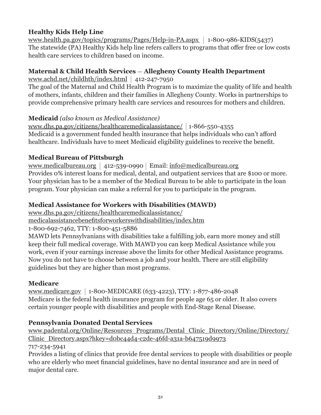# **Healthy Kids Help Line**

www.health.pa.gov/topics/programs/Pages/Help-in-PA.aspx 1-800-986-KIDS(5437) The statewide (PA) Healthy Kids help line refers callers to programs that offer free or low costs health care services to children based on income.

# **Maternal & Child Health Services - Allegheny County Health Department**

www.achd.net/childhth/index.html |  $412-247-7950$ 

The goal of the Maternal and Child Health Program is to maximize the quality of life and health of mothers, infants, children and their families in Allegheny County. Works in partnerships to provide comprehensive primary health care services and resources for mothers and children.

#### **Medicaid** *(also known as Medical Assistance)*

www.dhs.pa.gov/citizens/healthcaremedicalassistance/ 1-866-550-4355 Medicaid is a government funded health insurance that helps individuals who can't afford healthcare. Individuals have to meet Medicaid eligibility guidelines to receive the benefit.

# **Medical Bureau of Pittsburgh**

www.medicalbureau.org | 412-539-0990 | Email:  $info@medicalbureau.org$ Provides 0% interest loans for medical, dental, and outpatient services that are \$100 or more. Your physician has to be a member of the Medical Bureau to be able to participate in the loan program. Your physician can make a referral for you to participate in the program.

# **Medical Assistance for Workers with Disabilities (MAWD)**

www.dhs.pa.gov/citizens/healthcaremedicalassistance/

medicalassistancebenefitsforworkerswithdisabilities/index.htm

1-800-692-7462, TTY: 1-800-451-5886

MAWD lets Pennsylvanians with disabilities take a fulfilling job, earn more money and still keep their full medical coverage. With MAWD you can keep Medical Assistance while you work, even if your earnings increase above the limits for other Medical Assistance programs. Now you do not have to choose between a job and your health. There are still eligibility guidelines but they are higher than most programs.

# **Medicare**

www.medicare.gov 1-800-MEDICARE (633-4223), TTY: 1-877-486-2048 Medicare is the federal health insurance program for people age 65 or older. It also covers certain younger people with disabilities and people with End-Stage Renal Disease.

# **Pennsylvania Donated Dental Services**

www.padental.org/Online/Resources\_Programs/Dental\_Clinic\_Directory/Online/Directory/ Clinic\_Directory.aspx?hkey=d0bc44d4-c2de-46fd-a31a-b647519d9973 717-234-5941

Provides a listing of clinics that provide free dental services to people with disabilities or people who are elderly who meet financial guidelines, have no dental insurance and are in need of major dental care.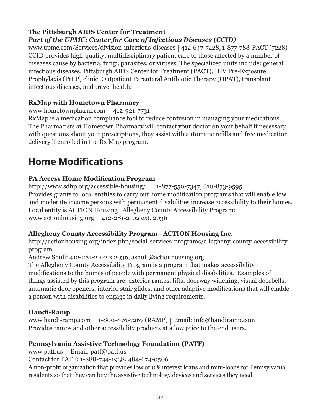#### **The Pittsburgh AIDS Center for Treatment** *Part of the UPMC: Center for Care of Infectious Diseases (CCID)*

www.upmc.com/Services/division-infectious-diseases 412-647-7228, 1-877-788-PACT (7228) CCID provides high-quality, multidisciplinary patient care to those affected by a number of diseases cause by bacteria, fungi, parasites, or viruses. The specialized units include: general infectious diseases, Pittsburgh AIDS Center for Treatment (PACT), HIV Pre-Exposure Prophylaxis (PrEP) clinic, Outpatient Parenteral Antibiotic Therapy (OPAT), transplant infectious diseases, and travel health.

# **RxMap with Hometown Pharmacy**

www.hometownpharm.com  $|$  412-921-7731

RxMap is a medication compliance tool to reduce confusion in managing your medications. The Pharmacists at Hometown Pharmacy will contact your doctor on your behalf if necessary with questions about your prescriptions, they assist with automatic refills and free medication delivery if enrolled in the Rx Map program.

# **Home Modifications**

# **PA Access Home Modification Program**

http://www.sdhp.org/accessible-housing/ 1-877-550-7347, 610-873-9595 Provides grants to local entities to carry out home modification programs that will enable low and moderate income persons with permanent disabilities increase accessibility to their homes. Local entity is ACTION Housing-Allegheny County Accessibility Program: www.actionhousing.org |  $412-281-2102$  ext. 2036

# **Allegheny County Accessibility Program - ACTION Housing Inc.**

http://actionhousing.org/index.php/social-services-programs/allegheny-county-accessibilityprogram

Andrew Shull: 412-281-2102 x 2036, ashull@actionhousing.org

The Allegheny County Accessibility Program is a program that makes accessibility modifications to the homes of people with permanent physical disabilities. Examples of things assisted by this program are: exterior ramps, lifts, doorway widening, visual doorbells, automatic door openers, interior stair glides, and other adaptive modifications that will enable a person with disabilities to engage in daily living requirements.

# **Handi-Ramp**

www.handi-ramp.com |  $1-800-876-7267$  (RAMP) | Email: info@handiramp.com Provides ramps and other accessibility products at a low price to the end users.

# **Pennsylvania Assistive Technology Foundation (PATF)**

www.patf.us | Email:  $patf\omega$ patf.us

Contact for PATF: 1-888-744-1938, 484-674-0506

A non-profit organization that provides low or 0% interest loans and mini-loans for Pennsylvania residents so that they can buy the assistive technology devices and services they need.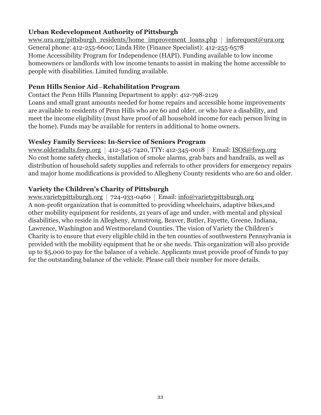#### **Urban Redevelopment Authority of Pittsburgh**

www.ura.org/pittsburgh\_residents/home\_improvement\_loans.php inforequest@ura.org General phone: 412-255-6600; Linda Hite (Finance Specialist): 412-255-6578 Home Accessibility Program for Independence (HAPI). Funding available to low income homeowners or landlords with low income tenants to assist in making the home accessible to people with disabilities. Limited funding available.

#### **Penn Hills Senior Aid**-**Rehabilitation Program**

Contact the Penn Hills Planning Department to apply: 412-798-2129 Loans and small grant amounts needed for home repairs and accessible home improvements are available to residents of Penn Hills who are 60 and older, or who have a disability, and meet the income eligibility (must have proof of all household income for each person living in the home). Funds may be available for renters in additional to home owners.

#### **Wesley Family Services: In-Service of Seniors Program**

www.olderadults.fswp.org | 412-345-7420, TTY: 412-345-0018 | Email: ISOS@fswp.org No cost home safety checks, installation of smoke alarms, grab bars and handrails, as well as distribution of household safety supplies and referrals to other providers for emergency repairs and major home modifications is provided to Allegheny County residents who are 60 and older.

#### **Variety the Children's Charity of Pittsburgh**

www.varietypittsburgh.org 724-933-0460 Email: info@varietypittsburgh.org A non-profit organization that is committed to providing wheelchairs, adaptive bikes,and other mobility equipment for residents, 21 years of age and under, with mental and physical disabilities, who reside in Allegheny, Armstrong, Beaver, Butler, Fayette, Greene, Indiana, Lawrence, Washington and Westmoreland Counties. The vision of Variety the Children's Charity is to ensure that every eligible child in the ten counties of southwestern Pennsylvania is provided with the mobility equipment that he or she needs. This organization will also provide up to \$5,000 to pay for the balance of a vehicle. Applicants must provide proof of funds to pay for the outstanding balance of the vehicle. Please call their number for more details.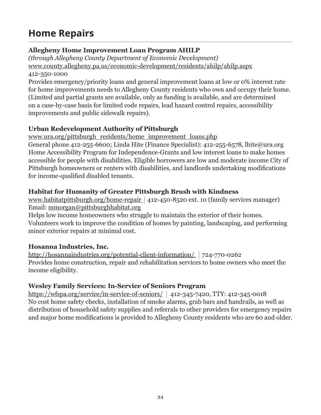# **Home Repairs**

# **Allegheny Home Improvement Loan Program AHILP**

*(through Allegheny County Department of Economic Development)*  www.county.allegheny.pa.us/economic-development/residents/ahilp/ahilp.aspx 412-350-1000

Provides emergency/priority loans and general improvement loans at low or 0% interest rate for home improvements needs to Allegheny County residents who own and occupy their home. (Limited and partial grants are available, only as funding is available, and are determined on a case-by-case basis for limited code repairs, lead hazard control repairs, accessibility improvements and public sidewalk repairs).

# **Urban Redevelopment Authority of Pittsburgh**

www.ura.org/pittsburgh\_residents/home\_improvement\_loans.php

General phone 412-255-6600; Linda Hite (Finance Specialist): 412-255-6578, lhite@ura.org Home Accessibility Program for Independence-Grants and low interest loans to make homes accessible for people with disabilities. Eligible borrowers are low and moderate income City of Pittsburgh homeowners or renters with disabilities, and landlords undertaking modifications for income-qualified disabled tenants.

# **Habitat for Humanity of Greater Pittsburgh Brush with Kindness**

www.habitatpittsburgh.org/home-repair | 412-450-8520 ext. 10 (family services manager) Email: mmorgan@pittsburghhabitat.org

Helps low income homeowners who struggle to maintain the exterior of their homes. Volunteers work to improve the condition of homes by painting, landscaping, and performing minor exterior repairs at minimal cost.

# **Hosanna Industries, Inc.**

http://hosannaindustries.org/potential-client-information/ | 724-770-0262 Provides home construction, repair and rehabilitation services to home owners who meet the income eligibility.

# **Wesley Family Services: In-Service of Seniors Program**

https://wfspa.org/service/in-service-of-seniors/ 412-345-7420, TTY: 412-345-0018 No cost home safety checks, installation of smoke alarms, grab bars and handrails, as well as distribution of household safety supplies and referrals to other providers for emergency repairs and major home modifications is provided to Allegheny County residents who are 60 and older.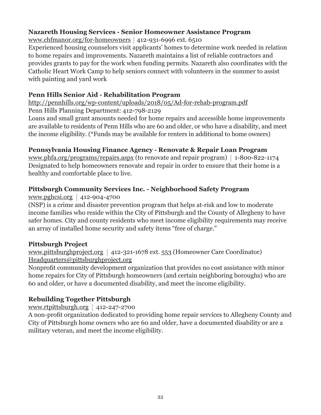#### **Nazareth Housing Services - Senior Homeowner Assistance Program**

www.chfmanor.org/for-homeowners  $412-931-6996$  ext. 6510

Experienced housing counselors visit applicants' homes to determine work needed in relation to home repairs and improvements. Nazareth maintains a list of reliable contractors and provides grants to pay for the work when funding permits. Nazareth also coordinates with the Catholic Heart Work Camp to help seniors connect with volunteers in the summer to assist with painting and yard work

#### **Penn Hills Senior Aid - Rehabilitation Program**

http://pennhills.org/wp-content/uploads/2018/05/Ad-for-rehab-program.pdf Penn Hills Planning Department: 412-798-2129

Loans and small grant amounts needed for home repairs and accessible home improvements are available to residents of Penn Hills who are 60 and older, or who have a disability, and meet the income eligibility. (\*Funds may be available for renters in additional to home owners)

#### **Pennsylvania Housing Finance Agency - Renovate & Repair Loan Program**

www.phfa.org/programs/repairs.aspx (to renovate and repair program) |  $1\text{-}800\text{-}822\text{-}1174$ Designated to help homeowners renovate and repair in order to ensure that their home is a healthy and comfortable place to live.

# **Pittsburgh Community Services Inc. - Neighborhood Safety Program**

www.pghcsi.org  $412-904-4700$ 

(NSP) is a crime and disaster prevention program that helps at-risk and low to moderate income families who reside within the City of Pittsburgh and the County of Allegheny to have safer homes. City and county residents who meet income eligibility requirements may receive an array of installed home security and safety items "free of charge."

#### **Pittsburgh Project**

www.pittsburghproject.org | 412-321-1678 ext. 553 (Homeowner Care Coordinator) Headquarters@pittsburghproject.org

Nonprofit community development organization that provides no cost assistance with minor home repairs for City of Pittsburgh homeowners (and certain neighboring boroughs) who are 60 and older, or have a documented disability, and meet the income eligibility.

# **Rebuilding Together Pittsburgh**

www.rtpittsburgh.org  $412-247-2700$ 

A non-profit organization dedicated to providing home repair services to Allegheny County and City of Pittsburgh home owners who are 60 and older, have a documented disability or are a military veteran, and meet the income eligibility.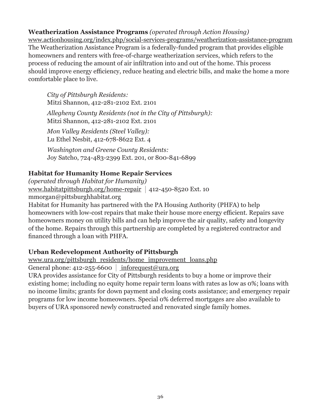#### **Weatherization Assistance Programs** *(operated through Action Housing)*

www.actionhousing.org/index.php/social-services-programs/weatherization-assistance-program The Weatherization Assistance Program is a federally-funded program that provides eligible homeowners and renters with free-of-charge weatherization services, which refers to the process of reducing the amount of air infiltration into and out of the home. This process should improve energy efficiency, reduce heating and electric bills, and make the home a more comfortable place to live.

*City of Pittsburgh Residents:* Mitzi Shannon, 412-281-2102 Ext. 2101 *Allegheny County Residents (not in the City of Pittsburgh):*  Mitzi Shannon, 412-281-2102 Ext. 2101 *Mon Valley Residents (Steel Valley):*  Lu Ethel Nesbit, 412-678-8622 Ext. 4

*Washington and Greene County Residents:*  Joy Satcho, 724-483-2399 Ext. 201, or 800-841-6899

#### **Habitat for Humanity Home Repair Services**

*(operated through Habitat for Humanity)* www.habitatpittsburgh.org/home-repair | 412-450-8520 Ext. 10 mmorgan@pittsburghhabitat.org

Habitat for Humanity has partnered with the PA Housing Authority (PHFA) to help homeowners with low-cost repairs that make their house more energy efficient. Repairs save homeowners money on utility bills and can help improve the air quality, safety and longevity of the home. Repairs through this partnership are completed by a registered contractor and financed through a loan with PHFA.

#### **Urban Redevelopment Authority of Pittsburgh**

www.ura.org/pittsburgh\_residents/home\_improvement\_loans.php

General phone: 412-255-6600  $|$  inforequest@ura.org

URA provides assistance for City of Pittsburgh residents to buy a home or improve their existing home; including no equity home repair term loans with rates as low as 0%; loans with no income limits; grants for down payment and closing costs assistance; and emergency repair programs for low income homeowners. Special 0% deferred mortgages are also available to buyers of URA sponsored newly constructed and renovated single family homes.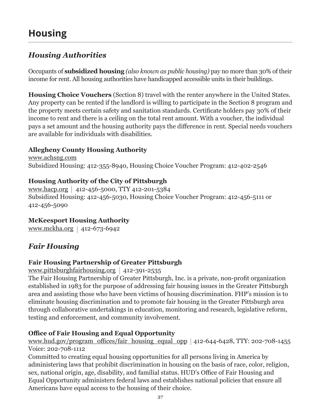# *Housing Authorities*

Occupants of **subsidized housing** *(also known as public housing)* pay no more than 30% of their income for rent. All housing authorities have handicapped accessible units in their buildings.

**Housing Choice Vouchers** (Section 8) travel with the renter anywhere in the United States. Any property can be rented if the landlord is willing to participate in the Section 8 program and the property meets certain safety and sanitation standards. Certificate holders pay 30% of their income to rent and there is a ceiling on the total rent amount. With a voucher, the individual pays a set amount and the housing authority pays the difference in rent. Special needs vouchers are available for individuals with disabilities.

# **Allegheny County Housing Authority**

www.achsng.com Subsidized Housing: 412-355-8940, Housing Choice Voucher Program: 412-402-2546

# **Housing Authority of the City of Pittsburgh**

www.hacp.org | 412-456-5000, TTY 412-201-5384 Subsidized Housing: 412-456-5030, Housing Choice Voucher Program: 412-456-5111 or 412-456-5090

# **McKeesport Housing Authority**

www.mckha.org | 412-673-6942

# *Fair Housing*

# **Fair Housing Partnership of Greater Pittsburgh**

www.pittsburghfairhousing.org |  $412-391-2535$ 

The Fair Housing Partnership of Greater Pittsburgh, Inc. is a private, non-profit organization established in 1983 for the purpose of addressing fair housing issues in the Greater Pittsburgh area and assisting those who have been victims of housing discrimination. FHP's mission is to eliminate housing discrimination and to promote fair housing in the Greater Pittsburgh area through collaborative undertakings in education, monitoring and research, legislative reform, testing and enforcement, and community involvement.

# **Office of Fair Housing and Equal Opportunity**

www.hud.gov/program\_offices/fair\_housing\_equal\_opp  $|412-644-6428, TTY: 202-708-1455$ Voice: 202-708-1112

Committed to creating equal housing opportunities for all persons living in America by administering laws that prohibit discrimination in housing on the basis of race, color, religion, sex, national origin, age, disability, and familial status. HUD's Office of Fair Housing and Equal Opportunity administers federal laws and establishes national policies that ensure all Americans have equal access to the housing of their choice.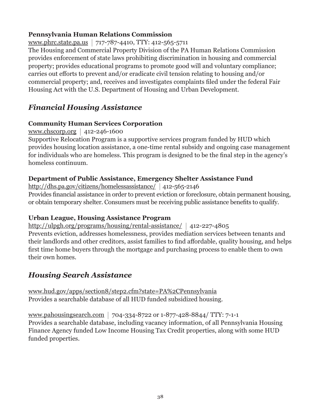#### **Pennsylvania Human Relations Commission**

www.phrc.state.pa.us 717-787-4410, TTY: 412-565-5711

The Housing and Commercial Property Division of the PA Human Relations Commission provides enforcement of state laws prohibiting discrimination in housing and commercial property; provides educational programs to promote good will and voluntary compliance; carries out efforts to prevent and/or eradicate civil tension relating to housing and/or commercial property; and, receives and investigates complaints filed under the federal Fair Housing Act with the U.S. Department of Housing and Urban Development.

# *Financial Housing Assistance*

#### **Community Human Services Corporation**

www.chscorp.org |  $412-246-1600$ 

Supportive Relocation Program is a supportive services program funded by HUD which provides housing location assistance, a one-time rental subsidy and ongoing case management for individuals who are homeless. This program is designed to be the final step in the agency's homeless continuum.

#### **Department of Public Assistance, Emergency Shelter Assistance Fund**

http://dhs.pa.gov/citizens/homelessassistance/ 412-565-2146 Provides financial assistance in order to prevent eviction or foreclosure, obtain permanent housing, or obtain temporary shelter. Consumers must be receiving public assistance benefits to qualify.

#### **Urban League, Housing Assistance Program**

http://ulpgh.org/programs/housing/rental-assistance/  $|$  412-227-4805 Prevents eviction, addresses homelessness, provides mediation services between tenants and their landlords and other creditors, assist families to find affordable, quality housing, and helps first time home buyers through the mortgage and purchasing process to enable them to own their own homes.

# *Housing Search Assistance*

www.hud.gov/apps/section8/step2.cfm?state=PA%2CPennsylvania Provides a searchable database of all HUD funded subsidized housing.

www.pahousingsearch.com 704-334-8722 or 1-877-428-8844/ TTY: 7-1-1 Provides a searchable database, including vacancy information, of all Pennsylvania Housing Finance Agency funded Low Income Housing Tax Credit properties, along with some HUD funded properties.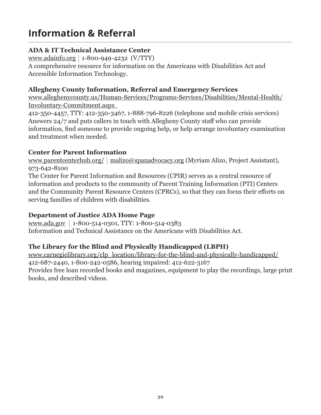# **Information & Referral**

# **ADA & IT Technical Assistance Center**

www.adainfo.org 1-800-949-4232 (V/TTY) A comprehensive resource for information on the Americans with Disabilities Act and Accessible Information Technology.

#### **Allegheny County Information, Referral and Emergency Services**

www.alleghenycounty.us/Human-Services/Programs-Services/Disabilities/Mental-Health/ Involuntary-Commitment.aspx

412-350-4457, TTY: 412-350-3467, 1-888-796-8226 (telephone and mobile crisis services) Answers 24/7 and puts callers in touch with Allegheny County staff who can provide information, find someone to provide ongoing help, or help arrange involuntary examination and treatment when needed.

# **Center for Parent Information**

www.parentcenterhub.org/ | malizo@spanadvocacy.org (Myriam Alizo, Project Assistant), 973-642-8100

The Center for Parent Information and Resources (CPIR) serves as a central resource of information and products to the community of Parent Training Information (PTI) Centers and the Community Parent Resource Centers (CPRCs), so that they can focus their efforts on serving families of children with disabilities.

# **Department of Justice ADA Home Page**

www.ada.gov 1-800-514-0301, TTY: 1-800-514-0383 Information and Technical Assistance on the Americans with Disabilities Act.

# **The Library for the Blind and Physically Handicapped (LBPH)**

www.carnegielibrary.org/clp\_location/library-for-the-blind-and-physically-handicapped/ 412-687-2440, 1-800-242-0586, hearing impaired: 412-622-3167 Provides free loan recorded books and magazines, equipment to play the recordings, large print books, and described videos.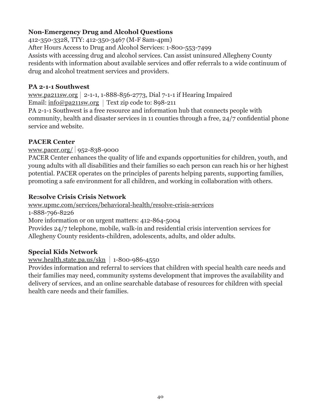# **Non-Emergency Drug and Alcohol Questions**

412-350-3328, TTY: 412-350-3467 (M-F 8am-4pm) After Hours Access to Drug and Alcohol Services: 1-800-553-7499 Assists with accessing drug and alcohol services. Can assist uninsured Allegheny County residents with information about available services and offer referrals to a wide continuum of drug and alcohol treatment services and providers.

#### **PA 2-1-1 Southwest**

www.pa211sw.org | 2-1-1, 1-888-856-2773, Dial 7-1-1 if Hearing Impaired Email:  $\frac{info@pa211sw.org}{rest}$  Text zip code to: 898-211

PA 2-1-1 Southwest is a free resource and information hub that connects people with community, health and disaster services in 11 counties through a free, 24/7 confidential phone service and website.

#### **PACER Center**

www.pacer.org/ 952-838-9000

PACER Center enhances the quality of life and expands opportunities for children, youth, and young adults with all disabilities and their families so each person can reach his or her highest potential. PACER operates on the principles of parents helping parents, supporting families, promoting a safe environment for all children, and working in collaboration with others.

#### **Re:solve Crisis Crisis Network**

www.upmc.com/services/behavioral-health/resolve-crisis-services 1-888-796-8226 More information or on urgent matters: 412-864-5004 Provides 24/7 telephone, mobile, walk-in and residential crisis intervention services for Allegheny County residents-children, adolescents, adults, and older adults.

#### **Special Kids Network**

www.health.state.pa.us/skn |  $1-800-986-4550$ 

Provides information and referral to services that children with special health care needs and their families may need, community systems development that improves the availability and delivery of services, and an online searchable database of resources for children with special health care needs and their families.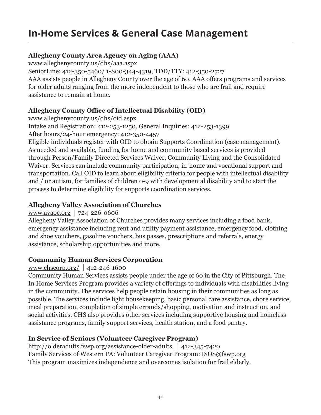# **In-Home Services & General Case Management**

### **Allegheny County Area Agency on Aging (AAA)**

www.alleghenycounty.us/dhs/aaa.aspx

SeniorLine: 412-350-5460/ 1-800-344-4319, TDD/TTY: 412-350-2727 AAA assists people in Allegheny County over the age of 60. AAA offers programs and services for older adults ranging from the more independent to those who are frail and require assistance to remain at home.

#### **Allegheny County Office of Intellectual Disability (OID)**

www.alleghenycounty.us/dhs/oid.aspx

Intake and Registration: 412-253-1250, General Inquiries: 412-253-1399 After hours/24-hour emergency: 412-350-4457

Eligible individuals register with OID to obtain Supports Coordination (case management). As needed and available, funding for home and community based services is provided through Person/Family Directed Services Waiver, Community Living and the Consolidated Waiver. Services can include community participation, in-home and vocational support and transportation. Call OID to learn about eligibility criteria for people with intellectual disability and / or autism, for families of children 0-9 with developmental disability and to start the process to determine eligibility for supports coordination services.

# **Allegheny Valley Association of Churches**

www.avaoc.org |  $724 - 226 - 0606$ 

Allegheny Valley Association of Churches provides many services including a food bank, emergency assistance including rent and utility payment assistance, emergency food, clothing and shoe vouchers, gasoline vouchers, bus passes, prescriptions and referrals, energy assistance, scholarship opportunities and more.

#### **Community Human Services Corporation**

# www.chscorp.org/ 412-246-1600

Community Human Services assists people under the age of 60 in the City of Pittsburgh. The In Home Services Program provides a variety of offerings to individuals with disabilities living in the community. The services help people retain housing in their communities as long as possible. The services include light housekeeping, basic personal care assistance, chore service, meal preparation, completion of simple errands/shopping, motivation and instruction, and social activities. CHS also provides other services including supportive housing and homeless assistance programs, family support services, health station, and a food pantry.

# **In Service of Seniors (Volunteer Caregiver Program)**

http://olderadults.fswp.org/assistance-older-adults 412-345-7420 Family Services of Western PA: Volunteer Caregiver Program: ISOS@fswp.org This program maximizes independence and overcomes isolation for frail elderly.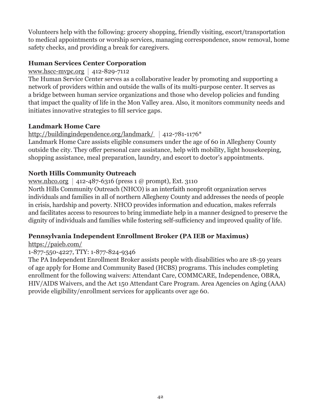Volunteers help with the following: grocery shopping, friendly visiting, escort/transportation to medical appointments or worship services, managing correspondence, snow removal, home safety checks, and providing a break for caregivers.

#### **Human Services Center Corporation**

www.hscc-mvpc.org  $|$  412-829-7112

The Human Service Center serves as a collaborative leader by promoting and supporting a network of providers within and outside the walls of its multi-purpose center. It serves as a bridge between human service organizations and those who develop policies and funding that impact the quality of life in the Mon Valley area. Also, it monitors community needs and initiates innovative strategies to fill service gaps.

#### **Landmark Home Care**

#### http://buildingindependence.org/landmark/ | 412-781-1176\*

Landmark Home Care assists eligible consumers under the age of 60 in Allegheny County outside the city. They offer personal care assistance, help with mobility, light housekeeping, shopping assistance, meal preparation, laundry, and escort to doctor's appointments.

#### **North Hills Community Outreach**

#### www.nhco.org | 412-487-6316 (press 1 @ prompt), Ext. 3110

North Hills Community Outreach (NHCO) is an interfaith nonprofit organization serves individuals and families in all of northern Allegheny County and addresses the needs of people in crisis, hardship and poverty. NHCO provides information and education, makes referrals and facilitates access to resources to bring immediate help in a manner designed to preserve the dignity of individuals and families while fostering self-sufficiency and improved quality of life.

#### **Pennsylvania Independent Enrollment Broker (PA IEB or Maximus)**

#### https://paieb.com/

#### 1-877-550-4227, TTY: 1-877-824-9346

The PA Independent Enrollment Broker assists people with disabilities who are 18-59 years of age apply for Home and Community Based (HCBS) programs. This includes completing enrollment for the following waivers: Attendant Care, COMMCARE, Independence, OBRA, HIV/AIDS Waivers, and the Act 150 Attendant Care Program. Area Agencies on Aging (AAA) provide eligibility/enrollment services for applicants over age 60.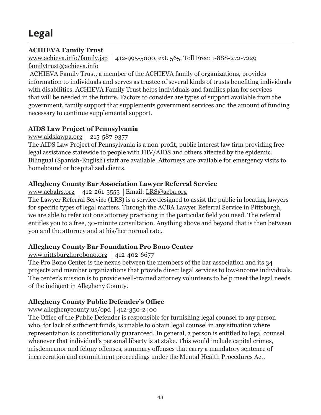#### **ACHIEVA Family Trust**

www.achieva.info/family.jsp 412-995-5000, ext. 565, Toll Free: 1-888-272-7229 familytrust@achieva.info

 ACHIEVA Family Trust, a member of the ACHIEVA family of organizations, provides information to individuals and serves as trustee of several kinds of trusts benefiting individuals with disabilities. ACHIEVA Family Trust helps individuals and families plan for services that will be needed in the future. Factors to consider are types of support available from the government, family support that supplements government services and the amount of funding necessary to continue supplemental support.

# **AIDS Law Project of Pennsylvania**

www.aidslawpa.org |  $215-587-9377$ 

The AIDS Law Project of Pennsylvania is a non-profit, public interest law firm providing free legal assistance statewide to people with HIV/AIDS and others affected by the epidemic. Bilingual (Spanish-English) staff are available. Attorneys are available for emergency visits to homebound or hospitalized clients.

#### **Allegheny County Bar Association Lawyer Referral Service**

www.acbalrs.org | 412-261-5555 | Email: LRS@acba.org

The Lawyer Referral Service (LRS) is a service designed to assist the public in locating lawyers for specific types of legal matters. Through the ACBA Lawyer Referral Service in Pittsburgh, we are able to refer out one attorney practicing in the particular field you need. The referral entitles you to a free, 30-minute consultation. Anything above and beyond that is then between you and the attorney and at his/her normal rate.

# **Allegheny County Bar Foundation Pro Bono Center**

#### www.pittsburghprobono.org |  $412-402-6677$

The Pro Bono Center is the nexus between the members of the bar association and its 34 projects and member organizations that provide direct legal services to low-income individuals. The center's mission is to provide well-trained attorney volunteers to help meet the legal needs of the indigent in Allegheny County.

# **Allegheny County Public Defender's Office**

#### www.alleghenycounty.us/opd  $|412-350-2400$

The Office of the Public Defender is responsible for furnishing legal counsel to any person who, for lack of sufficient funds, is unable to obtain legal counsel in any situation where representation is constitutionally guaranteed. In general, a person is entitled to legal counsel whenever that individual's personal liberty is at stake. This would include capital crimes, misdemeanor and felony offenses, summary offenses that carry a mandatory sentence of incarceration and commitment proceedings under the Mental Health Procedures Act.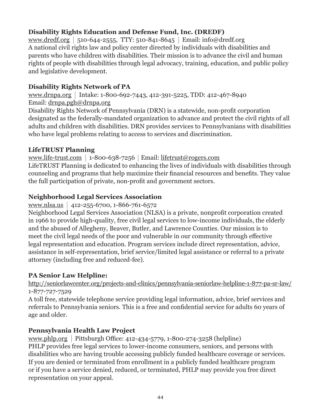# **Disability Rights Education and Defense Fund, Inc. (DREDF)**

www.dredf.org | 510-644-2555, TTY: 510-841-8645 | Email: info@dredf.org A national civil rights law and policy center directed by individuals with disabilities and parents who have children with disabilities. Their mission is to advance the civil and human rights of people with disabilities through legal advocacy, training, education, and public policy and legislative development.

# **Disability Rights Network of PA**

www.drnpa.org | Intake: 1-800-692-7443, 412-391-5225, TDD: 412-467-8940 Email: drnpa.pgh@drnpa.org

Disability Rights Network of Pennsylvania (DRN) is a statewide, non-profit corporation designated as the federally-mandated organization to advance and protect the civil rights of all adults and children with disabilities. DRN provides services to Pennsylvanians with disabilities who have legal problems relating to access to services and discrimination.

#### **LifeTRUST Planning**

www.life-trust.com 1-800-638-7256 Email: lifetrust@rogers.com

LifeTRUST Planning is dedicated to enhancing the lives of individuals with disabilities through counseling and programs that help maximize their financial resources and benefits. They value the full participation of private, non-profit and government sectors.

#### **Neighborhood Legal Services Association**

www.nlsa.us 412-255-6700, 1-866-761-6572

Neighborhood Legal Services Association (NLSA) is a private, nonprofit corporation created in 1966 to provide high-quality, free civil legal services to low-income individuals, the elderly and the abused of Allegheny, Beaver, Butler, and Lawrence Counties. Our mission is to meet the civil legal needs of the poor and vulnerable in our community through effective legal representation and education. Program services include direct representation, advice, assistance in self-representation, brief service/limited legal assistance or referral to a private attorney (including free and reduced-fee).

# **PA Senior Law Helpline:**

http://seniorlawcenter.org/projects-and-clinics/pennsylvania-seniorlaw-helpline-1-877-pa-sr-law/ 1-877-727-7529

A toll free, statewide telephone service providing legal information, advice, brief services and referrals to Pennsylvania seniors. This is a free and confidential service for adults 60 years of age and older.

# **Pennsylvania Health Law Project**

www.phlp.org | Pittsburgh Office: 412-434-5779, 1-800-274-3258 (helpline) PHLP provides free legal services to lower-income consumers, seniors, and persons with disabilities who are having trouble accessing publicly funded healthcare coverage or services. If you are denied or terminated from enrollment in a publicly funded healthcare program or if you have a service denied, reduced, or terminated, PHLP may provide you free direct representation on your appeal.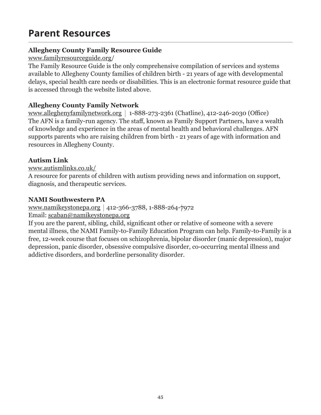# **Parent Resources**

# **Allegheny County Family Resource Guide**

www.familyresourceguide.org/

The Family Resource Guide is the only comprehensive compilation of services and systems available to Allegheny County families of children birth - 21 years of age with developmental delays, special health care needs or disabilities. This is an electronic format resource guide that is accessed through the website listed above.

### **Allegheny County Family Network**

www.alleghenyfamilynetwork.org |  $1-888-273-2361$  (Chatline), 412-246-2030 (Office) The AFN is a family-run agency. The staff, known as Family Support Partners, have a wealth of knowledge and experience in the areas of mental health and behavioral challenges. AFN supports parents who are raising children from birth - 21 years of age with information and resources in Allegheny County.

#### **Autism Link**

www.autismlinks.co.uk/

A resource for parents of children with autism providing news and information on support, diagnosis, and therapeutic services.

#### **NAMI Southwestern PA**

www.namikeystonepa.org | 412-366-3788, 1-888-264-7972

Email: scaban@namikeystonepa.org

If you are the parent, sibling, child, significant other or relative of someone with a severe mental illness, the NAMI Family-to-Family Education Program can help. Family-to-Family is a free, 12-week course that focuses on schizophrenia, bipolar disorder (manic depression), major depression, panic disorder, obsessive compulsive disorder, co-occurring mental illness and addictive disorders, and borderline personality disorder.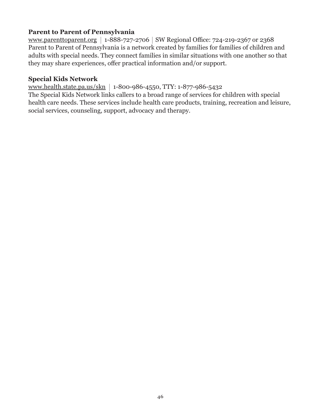#### **Parent to Parent of Pennsylvania**

www.parenttoparent.org | 1-888-727-2706 | SW Regional Office: 724-219-2367 or 2368 Parent to Parent of Pennsylvania is a network created by families for families of children and adults with special needs. They connect families in similar situations with one another so that they may share experiences, offer practical information and/or support.

#### **Special Kids Network**

www.health.state.pa.us/skn 1-800-986-4550, TTY: 1-877-986-5432

The Special Kids Network links callers to a broad range of services for children with special health care needs. These services include health care products, training, recreation and leisure, social services, counseling, support, advocacy and therapy.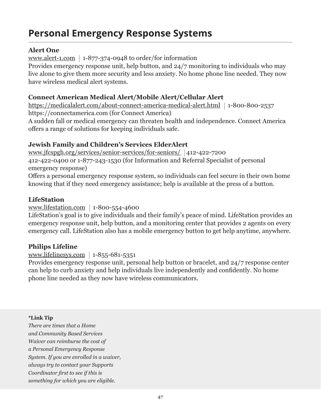# **Personal Emergency Response Systems**

#### **Alert One**

www.alert-1.com |  $1-877-374-0948$  to order/for information

Provides emergency response unit, help button, and 24/7 monitoring to individuals who may live alone to give them more security and less anxiety. No home phone line needed. They now have wireless medical alert systems.

#### **Connect American Medical Alert/Mobile Alert/Cellular Alert**

https://medicalalert.com/about-connect-america-medical-alert.html | 1-800-800-2537 https://connectamerica.com (for Connect America) A sudden fall or medical emergency can threaten health and independence. Connect America offers a range of solutions for keeping individuals safe.

#### **Jewish Family and Children's Services ElderAlert**

www.jfcspgh.org/services/senior-services/for-seniors/ 412-422-7200 412-422-0400 or 1-877-243-1530 (for Information and Referral Specialist of personal emergency response)

Offers a personal emergency response system, so individuals can feel secure in their own home knowing that if they need emergency assistance; help is available at the press of a button.

#### **LifeStation**

www.lifestation.com 1-800-554-4600

LifeStation's goal is to give individuals and their family's peace of mind. LifeStation provides an emergency response unit, help button, and a monitoring center that provides 2 agents on every emergency call. LifeStation also has a mobile emergency button to get help anytime, anywhere.

#### **Philips Lifeline**

#### www.lifelinesys.com |  $1-855-681-5351$

Provides emergency response unit, personal help button or bracelet, and 24/7 response center can help to curb anxiety and help individuals live independently and confidently. No home phone line needed as they now have wireless communicators.

#### **\*Link Tip**

*There are times that a Home and Community Based Services Waiver can reimburse the cost of a Personal Emergency Response System. If you are enrolled in a waiver, always try to contact your Supports Coordinator first to see if this is something for which you are eligible.*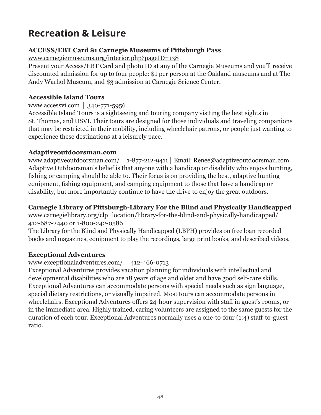# **Recreation & Leisure**

#### **ACCESS/EBT Card \$1 Carnegie Museums of Pittsburgh Pass**

www.carnegiemuseums.org/interior.php?pageID=138

Present your Access/EBT Card and photo ID at any of the Carnegie Museums and you'll receive discounted admission for up to four people: \$1 per person at the Oakland museums and at The Andy Warhol Museum, and \$3 admission at Carnegie Science Center.

#### **Accessible Island Tours**

#### www.accessvi.com  $\vert$  340-771-5956

Accessible Island Tours is a sightseeing and touring company visiting the best sights in St. Thomas, and USVI. Their tours are designed for those individuals and traveling companions that may be restricted in their mobility, including wheelchair patrons, or people just wanting to experience these destinations at a leisurely pace.

#### **Adaptiveoutdoorsman.com**

www.adaptiveoutdoorsman.com/ 1-877-212-9411 Email: Renee@adaptiveoutdoorsman.com Adaptive Outdoorsman's belief is that anyone with a handicap or disability who enjoys hunting, fishing or camping should be able to. Their focus is on providing the best, adaptive hunting equipment, fishing equipment, and camping equipment to those that have a handicap or disability, but more importantly continue to have the drive to enjoy the great outdoors.

#### **Carnegie Library of Pittsburgh-Library For the Blind and Physically Handicapped**

www.carnegielibrary.org/clp\_location/library-for-the-blind-and-physically-handicapped/ 412-687-2440 or 1-800-242-0586

The Library for the Blind and Physically Handicapped (LBPH) provides on free loan recorded books and magazines, equipment to play the recordings, large print books, and described videos.

# **Exceptional Adventures**

# www.exceptionaladventures.com/ 412-466-0713

Exceptional Adventures provides vacation planning for individuals with intellectual and developmental disabilities who are 18 years of age and older and have good self-care skills. Exceptional Adventures can accommodate persons with special needs such as sign language, special dietary restrictions, or visually impaired. Most tours can accommodate persons in wheelchairs. Exceptional Adventures offers 24-hour supervision with staff in guest's rooms, or in the immediate area. Highly trained, caring volunteers are assigned to the same guests for the duration of each tour. Exceptional Adventures normally uses a one-to-four (1:4) staff-to-guest ratio.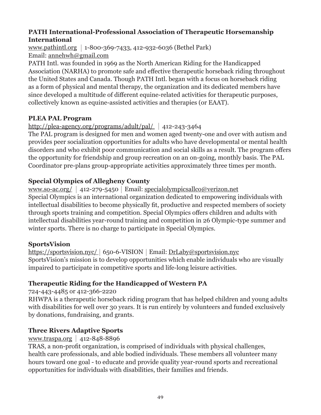#### **PATH International-Professional Association of Therapeutic Horsemanship International**

www.pathintl.org 1-800-369-7433, 412-932-6036 (Bethel Park) Email: annehwh@gmail.com

PATH Intl. was founded in 1969 as the North American Riding for the Handicapped Association (NARHA) to promote safe and effective therapeutic horseback riding throughout the United States and Canada. Though PATH Intl. began with a focus on horseback riding as a form of physical and mental therapy, the organization and its dedicated members have since developed a multitude of different equine-related activities for therapeutic purposes, collectively known as equine-assisted activities and therapies (or EAAT).

# **PLEA PAL Program**

#### http://plea-agency.org/programs/adult/pal/ 412-243-3464

The PAL program is designed for men and women aged twenty-one and over with autism and provides peer socialization opportunities for adults who have developmental or mental health disorders and who exhibit poor communication and social skills as a result. The program offers the opportunity for friendship and group recreation on an on-going, monthly basis. The PAL Coordinator pre-plans group-appropriate activities approximately three times per month.

#### **Special Olympics of Allegheny County**

www.so-ac.org/ 412-279-5450 Email: specialolympicsallco@verizon.net Special Olympics is an international organization dedicated to empowering individuals with intellectual disabilities to become physically fit, productive and respected members of society through sports training and competition. Special Olympics offers children and adults with intellectual disabilities year-round training and competition in 26 Olympic-type summer and winter sports. There is no charge to participate in Special Olympics.

#### **SportsVision**

https://sportsvision.nyc/ 650-6-VISION Email: DrLaby@sportsvision.nyc SportsVision's mission is to develop opportunities which enable individuals who are visually impaired to participate in competitive sports and life-long leisure activities.

# **Therapeutic Riding for the Handicapped of Western PA**

724-443-4485 or 412-366-2220

RHWPA is a therapeutic horseback riding program that has helped children and young adults with disabilities for well over 30 years. It is run entirely by volunteers and funded exclusively by donations, fundraising, and grants.

# **Three Rivers Adaptive Sports**

www.traspa.org  $412-848-8896$ 

TRAS, a non-profit organization, is comprised of individuals with physical challenges, health care professionals, and able bodied individuals. These members all volunteer many hours toward one goal - to educate and provide quality year-round sports and recreational opportunities for individuals with disabilities, their families and friends.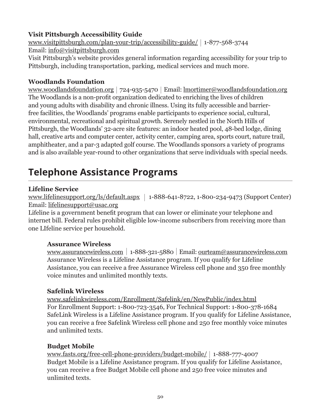#### **Visit Pittsburgh Accessibility Guide**

www.visitpittsburgh.com/plan-your-trip/accessibility-guide/ 1-877-568-3744 Email: info@visitpittsburgh.com Visit Pittsburgh's website provides general information regarding accessibility for your trip to Pittsburgh, including transportation, parking, medical services and much more.

#### **Woodlands Foundation**

www.woodlandsfoundation.org | 724-935-5470 | Email: lmortimer@woodlandsfoundation.org The Woodlands is a non-profit organization dedicated to enriching the lives of children and young adults with disability and chronic illness. Using its fully accessible and barrierfree facilities, the Woodlands' programs enable participants to experience social, cultural, environmental, recreational and spiritual growth. Serenely nestled in the North Hills of Pittsburgh, the Woodlands' 32-acre site features: an indoor heated pool, 48-bed lodge, dining hall, creative arts and computer center, activity center, camping area, sports court, nature trail, amphitheater, and a par-3 adapted golf course. The Woodlands sponsors a variety of programs and is also available year-round to other organizations that serve individuals with special needs.

# **Telephone Assistance Programs**

#### **Lifeline Service**

www.lifelinesupport.org/ls/default.aspx |  $1-888-641-8722$ , 1-800-234-9473 (Support Center) Email: lifelinesupport@usac.org

Lifeline is a government benefit program that can lower or eliminate your telephone and internet bill. Federal rules prohibit eligible low-income subscribers from receiving more than one LIfeline service per household.

#### **Assurance Wireless**

www.assurancewireless.com 1-888-321-5880 Email: ourteam@assurancewireless.com Assurance Wireless is a Lifeline Assistance program. If you qualify for Lifeline Assistance, you can receive a free Assurance Wireless cell phone and 350 free monthly voice minutes and unlimited monthly texts.

#### **Safelink Wireless**

www.safelinkwireless.com/Enrollment/Safelink/en/NewPublic/index.html For Enrollment Support: 1-800-723-3546, For Technical Support: 1-800-378-1684 SafeLink Wireless is a Lifeline Assistance program. If you qualify for Lifeline Assistance, you can receive a free Safelink Wireless cell phone and 250 free monthly voice minutes and unlimited texts.

#### **Budget Mobile**

www.fasts.org/free-cell-phone-providers/budget-mobile/ 1-888-777-4007 Budget Mobile is a Lifeline Assistance program. If you qualify for Lifeline Assistance, you can receive a free Budget Mobile cell phone and 250 free voice minutes and unlimited texts.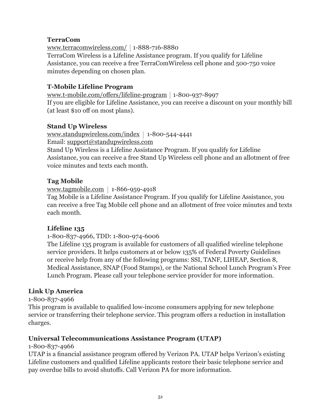#### **TerraCom**

www.terracomwireless.com/ 1-888-716-8880

TerraCom Wireless is a Lifeline Assistance program. If you qualify for Lifeline Assistance, you can receive a free TerraComWireless cell phone and 500-750 voice minutes depending on chosen plan.

#### **T-Mobile Lifeline Program**

www.t-mobile.com/offers/lifeline-program 1-800-937-8997 If you are eligible for Lifeline Assistance, you can receive a discount on your monthly bill (at least \$10 off on most plans).

#### **Stand Up Wireless**

www.standupwireless.com/index 1-800-544-4441 Email: support@standupwireless.com Stand Up Wireless is a Lifeline Assistance Program. If you qualify for Lifeline Assistance, you can receive a free Stand Up Wireless cell phone and an allotment of free voice minutes and texts each month.

#### **Tag Mobile**

www.tagmobile.com 1-866-959-4918

Tag Mobile is a Lifeline Assistance Program. If you qualify for Lifeline Assistance, you can receive a free Tag Mobile cell phone and an allotment of free voice minutes and texts each month.

#### **Lifeline 135**

1-800-837-4966, TDD: 1-800-974-6006

The Lifeline 135 program is available for customers of all qualified wireline telephone service providers. It helps customers at or below 135% of Federal Poverty Guidelines or receive help from any of the following programs: SSI, TANF, LIHEAP, Section 8, Medical Assistance, SNAP (Food Stamps), or the National School Lunch Program's Free Lunch Program. Please call your telephone service provider for more information.

#### **Link Up America**

1-800-837-4966

This program is available to qualified low-income consumers applying for new telephone service or transferring their telephone service. This program offers a reduction in installation charges.

#### **Universal Telecommunications Assistance Program (UTAP)**

1-800-837-4966

UTAP is a financial assistance program offered by Verizon PA. UTAP helps Verizon's existing Lifeline customers and qualified Lifeline applicants restore their basic telephone service and pay overdue bills to avoid shutoffs. Call Verizon PA for more information.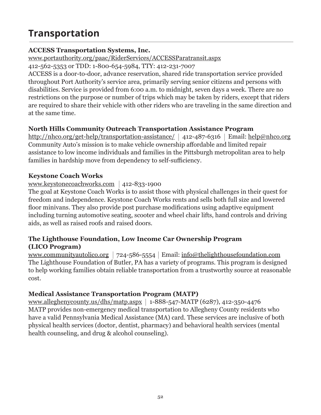# **Transportation**

### **ACCESS Transportation Systems, Inc.**

www.portauthority.org/paac/RiderServices/ACCESSParatransit.aspx

412-562-5353 or TDD: 1-800-654-5984, TTY: 412-231-7007

ACCESS is a door-to-door, advance reservation, shared ride transportation service provided throughout Port Authority's service area, primarily serving senior citizens and persons with disabilities. Service is provided from 6:00 a.m. to midnight, seven days a week. There are no restrictions on the purpose or number of trips which may be taken by riders, except that riders are required to share their vehicle with other riders who are traveling in the same direction and at the same time.

# **North Hills Community Outreach Transportation Assistance Program**

http://nhco.org/get-help/transportation-assistance/  $|412-487-6316|$  Email: help@nhco.org Community Auto's mission is to make vehicle ownership affordable and limited repair assistance to low income individuals and families in the Pittsburgh metropolitan area to help families in hardship move from dependency to self-sufficiency.

#### **Keystone Coach Works**

#### www.keystonecoachworks.com 412-833-1900

The goal at Keystone Coach Works is to assist those with physical challenges in their quest for freedom and independence. Keystone Coach Works rents and sells both full size and lowered floor minivans. They also provide post purchase modifications using adaptive equipment including turning automotive seating, scooter and wheel chair lifts, hand controls and driving aids, as well as raised roofs and raised doors.

#### **The Lighthouse Foundation, Low Income Car Ownership Program (LICO Program)**

www.communityautolico.org |  $724-586-5554$  | Email: info@thelighthousefoundation.com The Lighthouse Foundation of Butler, PA has a variety of programs. This program is designed to help working families obtain reliable transportation from a trustworthy source at reasonable cost.

# **Medical Assistance Transportation Program (MATP)**

www.alleghenycounty.us/dhs/matp.aspx 1-888-547-MATP (6287), 412-350-4476 MATP provides non-emergency medical transportation to Allegheny County residents who have a valid Pennsylvania Medical Assistance (MA) card. These services are inclusive of both physical health services (doctor, dentist, pharmacy) and behavioral health services (mental health counseling, and drug & alcohol counseling).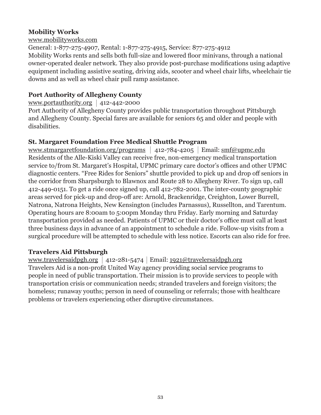#### **Mobility Works**

#### www.mobilityworks.com

General: 1-877-275-4907, Rental: 1-877-275-4915, Service: 877-275-4912 Mobility Works rents and sells both full-size and lowered floor minivans, through a national owner-operated dealer network. They also provide post-purchase modifications using adaptive equipment including assistive seating, driving aids, scooter and wheel chair lifts, wheelchair tie downs and as well as wheel chair pull ramp assistance.

# **Port Authority of Allegheny County**

www.portauthority.org  $|412-442-2000$ 

Port Authority of Allegheny County provides public transportation throughout Pittsburgh and Allegheny County. Special fares are available for seniors 65 and older and people with disabilities.

# **St. Margaret Foundation Free Medical Shuttle Program**

www.stmargaretfoundation.org/programs | 412-784-4205 | Email:  $\frac{\text{smf}(\omega)$ upmc.edu Residents of the Alle-Kiski Valley can receive free, non-emergency medical transportation service to/from St. Margaret's Hospital, UPMC primary care doctor's offices and other UPMC diagnostic centers. "Free Rides for Seniors" shuttle provided to pick up and drop off seniors in the corridor from Sharpsburgh to Blawnox and Route 28 to Allegheny River. To sign up, call 412-449-0151. To get a ride once signed up, call 412-782-2001. The inter-county geographic areas served for pick-up and drop-off are: Arnold, Brackenridge, Creighton, Lower Burrell, Natrona, Natrona Heights, New Kensington (includes Parnassus), Russellton, and Tarentum. Operating hours are 8:00am to 5:00pm Monday thru Friday. Early morning and Saturday transportation provided as needed. Patients of UPMC or their doctor's office must call at least three business days in advance of an appointment to schedule a ride. Follow-up visits from a surgical procedure will be attempted to schedule with less notice. Escorts can also ride for free.

# **Travelers Aid Pittsburgh**

www.travelersaidpgh.org | 412-281-5474 | Email:  $1921@$ travelersaidpgh.org Travelers Aid is a non-profit United Way agency providing social service programs to people in need of public transportation. Their mission is to provide services to people with transportation crisis or communication needs; stranded travelers and foreign visitors; the homeless; runaway youths; person in need of counseling or referrals; those with healthcare problems or travelers experiencing other disruptive circumstances.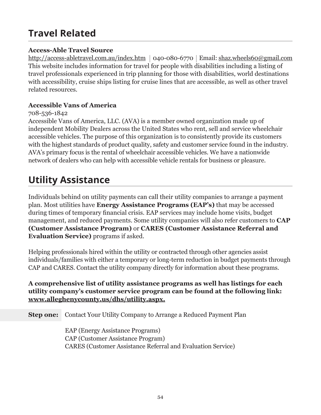# **Travel Related**

#### **Access-Able Travel Source**

http://access-abletravel.com.au/index.htm | 040-080-6770 | Email: shaz.wheels60@gmail.com This website includes information for travel for people with disabilities including a listing of travel professionals experienced in trip planning for those with disabilities, world destinations with accessibility, cruise ships listing for cruise lines that are accessible, as well as other travel related resources.

#### **Accessible Vans of America**

#### 708-536-1842

Accessible Vans of America, LLC. (AVA) is a member owned organization made up of independent Mobility Dealers across the United States who rent, sell and service wheelchair accessible vehicles. The purpose of this organization is to consistently provide its customers with the highest standards of product quality, safety and customer service found in the industry. AVA's primary focus is the rental of wheelchair accessible vehicles. We have a nationwide network of dealers who can help with accessible vehicle rentals for business or pleasure.

# **Utility Assistance**

Individuals behind on utility payments can call their utility companies to arrange a payment plan. Most utilities have **Energy Assistance Programs (EAP's)** that may be accessed during times of temporary financial crisis. EAP services may include home visits, budget management, and reduced payments. Some utility companies will also refer customers to **CAP (Customer Assistance Program)** or **CARES (Customer Assistance Referral and Evaluation Service)** programs if asked.

Helping professionals hired within the utility or contracted through other agencies assist individuals/families with either a temporary or long-term reduction in budget payments through CAP and CARES. Contact the utility company directly for information about these programs.

#### **A comprehensive list of utility assistance programs as well has listings for each utility company's customer service program can be found at the following link: www.alleghenycounty.us/dhs/utility.aspx.**

**Step one:** Contact Your Utility Company to Arrange a Reduced Payment Plan

EAP (Energy Assistance Programs) CAP (Customer Assistance Program) CARES (Customer Assistance Referral and Evaluation Service)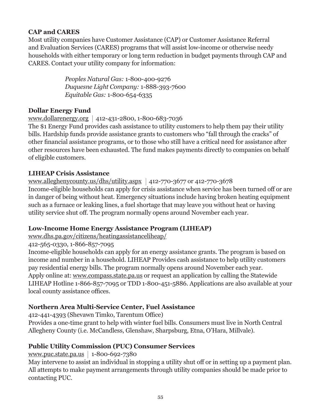#### **CAP and CARES**

Most utility companies have Customer Assistance (CAP) or Customer Assistance Referral and Evaluation Services (CARES) programs that will assist low-income or otherwise needy households with either temporary or long term reduction in budget payments through CAP and CARES. Contact your utility company for information:

> *Peoples Natural Gas:* 1-800-400-9276 *Duquesne Light Company:* 1-888-393-7600 *Equitable Gas:* 1-800-654-6335

#### **Dollar Energy Fund**

#### www.dollarenergy.org 412-431-2800, 1-800-683-7036

The \$1 Energy Fund provides cash assistance to utility customers to help them pay their utility bills. Hardship funds provide assistance grants to customers who "fall through the cracks" of other financial assistance programs, or to those who still have a critical need for assistance after other resources have been exhausted. The fund makes payments directly to companies on behalf of eligible customers.

#### **LIHEAP Crisis Assistance**

# www.alleghenycounty.us/dhs/utility.aspx | 412-770-3677 or 412-770-3678

Income-eligible households can apply for crisis assistance when service has been turned off or are in danger of being without heat. Emergency situations include having broken heating equipment such as a furnace or leaking lines, a fuel shortage that may leave you without heat or having utility service shut off. The program normally opens around November each year.

#### **Low-Income Home Energy Assistance Program (LIHEAP)**

www.dhs.pa.gov/citizens/heatingassistanceliheap/

#### 412-565-0330, 1-866-857-7095

Income-eligible households can apply for an energy assistance grants. The program is based on income and number in a household. LIHEAP Provides cash assistance to help utility customers pay residential energy bills. The program normally opens around November each year. Apply online at: www.compass.state.pa.us or request an application by calling the Statewide LIHEAP Hotline 1-866-857-7095 or TDD 1-800-451-5886. Applications are also available at your local county assistance offices.

#### **Northern Area Multi-Service Center, Fuel Assistance**

412-441-4393 (Shevawn Timko, Tarentum Office)

Provides a one-time grant to help with winter fuel bills. Consumers must live in North Central Allegheny County (i.e. McCandless, Glenshaw, Sharpsburg, Etna, O'Hara, Millvale).

# **Public Utility Commission (PUC) Consumer Services**

www.puc.state.pa.us | 1-800-692-7380

May intervene to assist an individual in stopping a utility shut off or in setting up a payment plan. All attempts to make payment arrangements through utility companies should be made prior to contacting PUC.